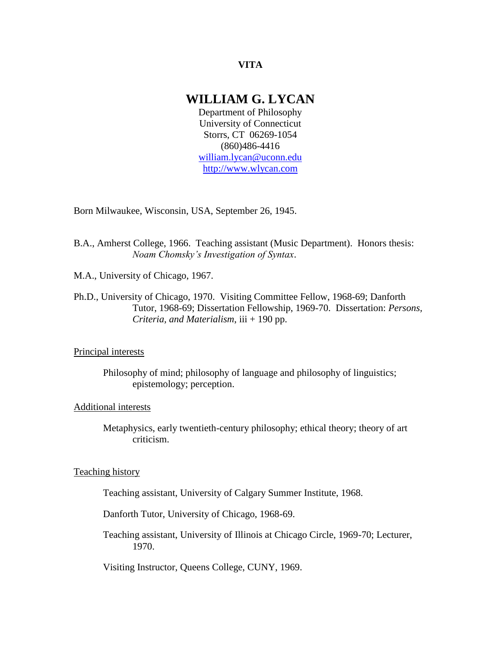# **VITA**

# **WILLIAM G. LYCAN**

Department of Philosophy University of Connecticut Storrs, CT 06269-1054 (860)486-4416 [william.lycan@uconn.edu](mailto:william.lycan@uconn.edu) [http://www.wlycan.com](http://www.wlycan.com/)

Born Milwaukee, Wisconsin, USA, September 26, 1945.

- B.A., Amherst College, 1966. Teaching assistant (Music Department). Honors thesis: *Noam Chomsky's Investigation of Syntax*.
- M.A., University of Chicago, 1967.
- Ph.D., University of Chicago, 1970. Visiting Committee Fellow, 1968-69; Danforth Tutor, 1968-69; Dissertation Fellowship, 1969-70. Dissertation: *Persons, Criteria, and Materialism*, iii + 190 pp.

### Principal interests

Philosophy of mind; philosophy of language and philosophy of linguistics; epistemology; perception.

#### Additional interests

Metaphysics, early twentieth-century philosophy; ethical theory; theory of art criticism.

### Teaching history

Teaching assistant, University of Calgary Summer Institute, 1968.

Danforth Tutor, University of Chicago, 1968-69.

Teaching assistant, University of Illinois at Chicago Circle, 1969-70; Lecturer, 1970.

Visiting Instructor, Queens College, CUNY, 1969.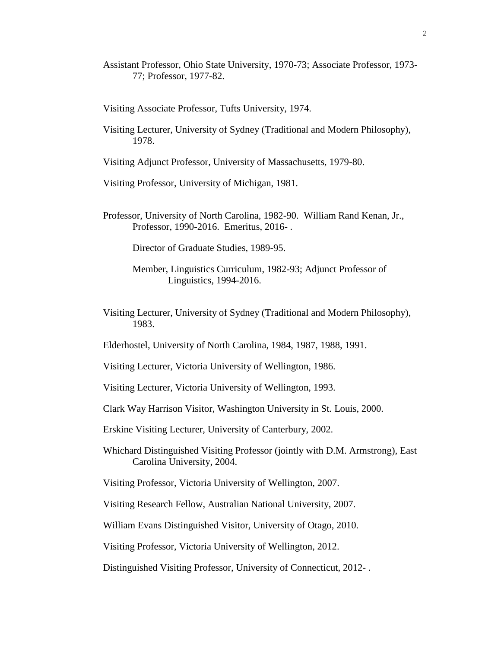Assistant Professor, Ohio State University, 1970-73; Associate Professor, 1973- 77; Professor, 1977-82.

Visiting Associate Professor, Tufts University, 1974.

- Visiting Lecturer, University of Sydney (Traditional and Modern Philosophy), 1978.
- Visiting Adjunct Professor, University of Massachusetts, 1979-80.
- Visiting Professor, University of Michigan, 1981.
- Professor, University of North Carolina, 1982-90. William Rand Kenan, Jr., Professor, 1990-2016. Emeritus, 2016- .

Director of Graduate Studies, 1989-95.

- Member, Linguistics Curriculum, 1982-93; Adjunct Professor of Linguistics, 1994-2016.
- Visiting Lecturer, University of Sydney (Traditional and Modern Philosophy), 1983.
- Elderhostel, University of North Carolina, 1984, 1987, 1988, 1991.

Visiting Lecturer, Victoria University of Wellington, 1986.

Visiting Lecturer, Victoria University of Wellington, 1993.

Clark Way Harrison Visitor, Washington University in St. Louis, 2000.

Erskine Visiting Lecturer, University of Canterbury, 2002.

Whichard Distinguished Visiting Professor (jointly with D.M. Armstrong), East Carolina University, 2004.

Visiting Professor, Victoria University of Wellington, 2007.

Visiting Research Fellow, Australian National University, 2007.

William Evans Distinguished Visitor, University of Otago, 2010.

Visiting Professor, Victoria University of Wellington, 2012.

Distinguished Visiting Professor, University of Connecticut, 2012- .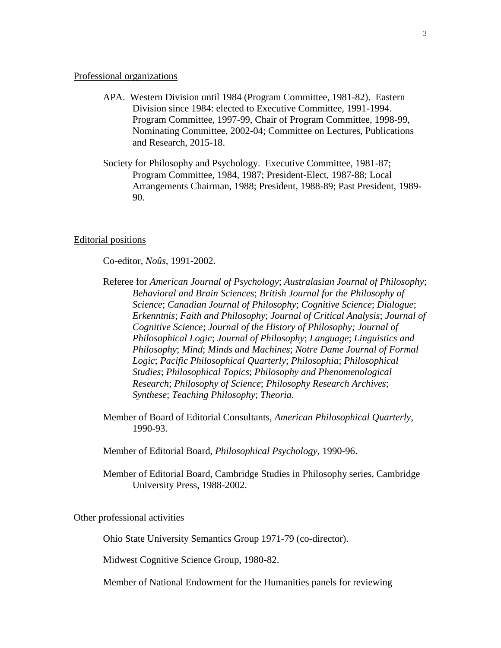#### Professional organizations

- APA. Western Division until 1984 (Program Committee, 1981-82). Eastern Division since 1984: elected to Executive Committee, 1991-1994. Program Committee, 1997-99, Chair of Program Committee, 1998-99, Nominating Committee, 2002-04; Committee on Lectures, Publications and Research, 2015-18.
- Society for Philosophy and Psychology. Executive Committee, 1981-87; Program Committee, 1984, 1987; President-Elect, 1987-88; Local Arrangements Chairman, 1988; President, 1988-89; Past President, 1989- 90.

#### Editorial positions

Co-editor, *Noûs*, 1991-2002.

- Referee for *American Journal of Psychology*; *Australasian Journal of Philosophy*; *Behavioral and Brain Sciences*; *British Journal for the Philosophy of Science*; *Canadian Journal of Philosophy*; *Cognitive Science*; *Dialogue*; *Erkenntnis*; *Faith and Philosophy*; *Journal of Critical Analysis*; *Journal of Cognitive Science*; *Journal of the History of Philosophy; Journal of Philosophical Logic*; *Journal of Philosophy*; *Language*; *Linguistics and Philosophy*; *Mind*; *Minds and Machines*; *Notre Dame Journal of Formal Logic*; *Pacific Philosophical Quarterly*; *Philosophia*; *Philosophical Studies*; *Philosophical Topics*; *Philosophy and Phenomenological Research*; *Philosophy of Science*; *Philosophy Research Archives*; *Synthese*; *Teaching Philosophy*; *Theoria*.
- Member of Board of Editorial Consultants, *American Philosophical Quarterly*, 1990-93.
- Member of Editorial Board, *Philosophical Psychology*, 1990-96.
- Member of Editorial Board, Cambridge Studies in Philosophy series, Cambridge University Press, 1988-2002.

#### Other professional activities

Ohio State University Semantics Group 1971-79 (co-director).

Midwest Cognitive Science Group, 1980-82.

Member of National Endowment for the Humanities panels for reviewing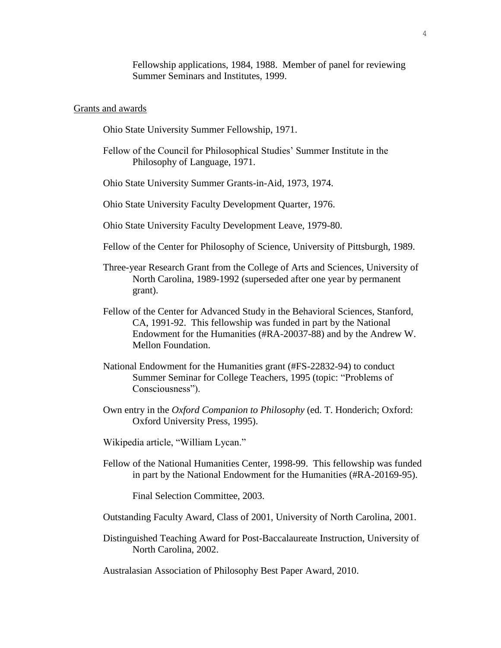Fellowship applications, 1984, 1988. Member of panel for reviewing Summer Seminars and Institutes, 1999.

#### Grants and awards

Ohio State University Summer Fellowship, 1971.

- Fellow of the Council for Philosophical Studies' Summer Institute in the Philosophy of Language, 1971.
- Ohio State University Summer Grants-in-Aid, 1973, 1974.
- Ohio State University Faculty Development Quarter, 1976.
- Ohio State University Faculty Development Leave, 1979-80.
- Fellow of the Center for Philosophy of Science, University of Pittsburgh, 1989.
- Three-year Research Grant from the College of Arts and Sciences, University of North Carolina, 1989-1992 (superseded after one year by permanent grant).
- Fellow of the Center for Advanced Study in the Behavioral Sciences, Stanford, CA, 1991-92. This fellowship was funded in part by the National Endowment for the Humanities (#RA-20037-88) and by the Andrew W. Mellon Foundation.
- National Endowment for the Humanities grant (#FS-22832-94) to conduct Summer Seminar for College Teachers, 1995 (topic: "Problems of Consciousness").
- Own entry in the *Oxford Companion to Philosophy* (ed. T. Honderich; Oxford: Oxford University Press, 1995).
- Wikipedia article, "William Lycan."
- Fellow of the National Humanities Center, 1998-99. This fellowship was funded in part by the National Endowment for the Humanities (#RA-20169-95).

Final Selection Committee, 2003.

- Outstanding Faculty Award, Class of 2001, University of North Carolina, 2001.
- Distinguished Teaching Award for Post-Baccalaureate Instruction, University of North Carolina, 2002.

Australasian Association of Philosophy Best Paper Award, 2010.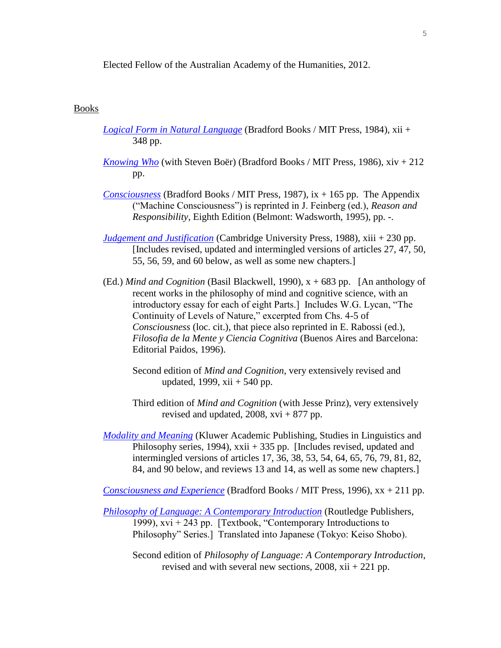Elected Fellow of the Australian Academy of the Humanities, 2012.

# Books

- *[Logical Form in Natural Language](http://www.amazon.com/exec/obidos/ASIN/0262121085/ononlinecom/104-2233348-25)* (Bradford Books / MIT Press, 1984), xii + 348 pp.
- *[Knowing Who](http://mitpress.mit.edu/catalog/item/default.asp?ttype=2&tid=4938)* (with Steven Boër) (Bradford Books / MIT Press, 1986), xiv + 212 pp.
- *[Consciousness](http://mitpress.mit.edu/catalog/item/default.asp?ttype=2&tid=6309)* (Bradford Books / MIT Press, 1987), ix + 165 pp. The Appendix ("Machine Consciousness") is reprinted in J. Feinberg (ed.), *Reason and Responsibility*, Eighth Edition (Belmont: Wadsworth, 1995), pp. -.
- *[Judgement and Justification](http://www.amazon.com/exec/obidos/ASIN/0521335809/qid=1023990409/sr=1-1/ref=sr_1_1/104-8626424-6316709)* (Cambridge University Press, 1988), xiii + 230 pp. [Includes revised, updated and intermingled versions of articles 27, 47, 50, 55, 56, 59, and 60 below, as well as some new chapters.]
- (Ed.) *Mind and Cognition* (Basil Blackwell, 1990), x + 683 pp. [An anthology of recent works in the philosophy of mind and cognitive science, with an introductory essay for each of eight Parts.] Includes W.G. Lycan, "The Continuity of Levels of Nature," excerpted from Chs. 4-5 of *Consciousness* (loc. cit.), that piece also reprinted in E. Rabossi (ed.), *Filosofia de la Mente y Ciencia Cognitiva* (Buenos Aires and Barcelona: Editorial Paidos, 1996).
	- Second edition of *Mind and Cognition*, very extensively revised and updated, 1999,  $xii + 540$  pp.
	- Third edition of *Mind and Cognition* (with Jesse Prinz), very extensively revised and updated,  $2008$ ,  $xvi + 877$  pp.
- *[Modality and Meaning](http://www.springer.com/west/home/generic/search/results?SGWID=4-40109-22-33728711-0)* (Kluwer Academic Publishing, Studies in Linguistics and Philosophy series, 1994), xxii + 335 pp. [Includes revised, updated and intermingled versions of articles 17, 36, 38, 53, 54, 64, 65, 76, 79, 81, 82, 84, and 90 below, and reviews 13 and 14, as well as some new chapters.]

*[Consciousness and Experience](http://mitpress.mit.edu/catalog/item/default.asp?ttype=2&tid=7403)* (Bradford Books / MIT Press, 1996), xx + 211 pp.

- *[Philosophy of Language: A Contemporary Introduction](http://www.amazon.com/exec/obidos/ASIN/0415171164/ref=ase_jonradel/104-2233348-2521550#product-details)* (Routledge Publishers, 1999),  $xvi + 243$  pp. [Textbook, "Contemporary Introductions to Philosophy" Series.] Translated into Japanese (Tokyo: Keiso Shobo).
	- Second edition of *Philosophy of Language: A Contemporary Introduction*, revised and with several new sections, 2008, xii + 221 pp.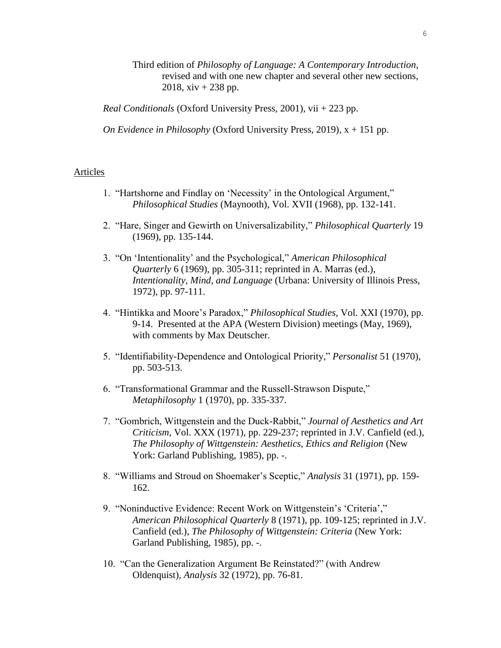Third edition of *Philosophy of Language: A Contemporary Introduction*, revised and with one new chapter and several other new sections, 2018,  $xiv + 238$  pp.

*Real Conditionals* (Oxford University Press, 2001), vii + 223 pp.

*On Evidence in Philosophy* (Oxford University Press, 2019), x + 151 pp.

# Articles

- 1. "Hartshorne and Findlay on 'Necessity' in the Ontological Argument," *Philosophical Studies* (Maynooth), Vol. XVII (1968), pp. 132-141.
- 2. "Hare, Singer and Gewirth on Universalizability," *Philosophical Quarterly* 19 (1969), pp. 135-144.
- 3. "On 'Intentionality' and the Psychological," *American Philosophical Quarterly* 6 (1969), pp. 305-311; reprinted in A. Marras (ed.), *Intentionality, Mind, and Language* (Urbana: University of Illinois Press, 1972), pp. 97-111.
- 4. "Hintikka and Moore's Paradox," *Philosophical Studies*, Vol. XXI (1970), pp. 9-14. Presented at the APA (Western Division) meetings (May, 1969), with comments by Max Deutscher.
- 5. "Identifiability-Dependence and Ontological Priority," *Personalist* 51 (1970), pp. 503-513.
- 6. "Transformational Grammar and the Russell-Strawson Dispute," *Metaphilosophy* 1 (1970), pp. 335-337.
- 7. "Gombrich, Wittgenstein and the Duck-Rabbit," *Journal of Aesthetics and Art Criticism*, Vol. XXX (1971), pp. 229-237; reprinted in J.V. Canfield (ed.), *The Philosophy of Wittgenstein: Aesthetics, Ethics and Religion* (New York: Garland Publishing, 1985), pp. -.
- 8. "Williams and Stroud on Shoemaker's Sceptic," *Analysis* 31 (1971), pp. 159- 162.
- 9. "Noninductive Evidence: Recent Work on Wittgenstein's 'Criteria'," *American Philosophical Quarterly* 8 (1971), pp. 109-125; reprinted in J.V. Canfield (ed.), *The Philosophy of Wittgenstein: Criteria* (New York: Garland Publishing, 1985), pp. -.
- 10. "Can the Generalization Argument Be Reinstated?" (with Andrew Oldenquist), *Analysis* 32 (1972), pp. 76-81.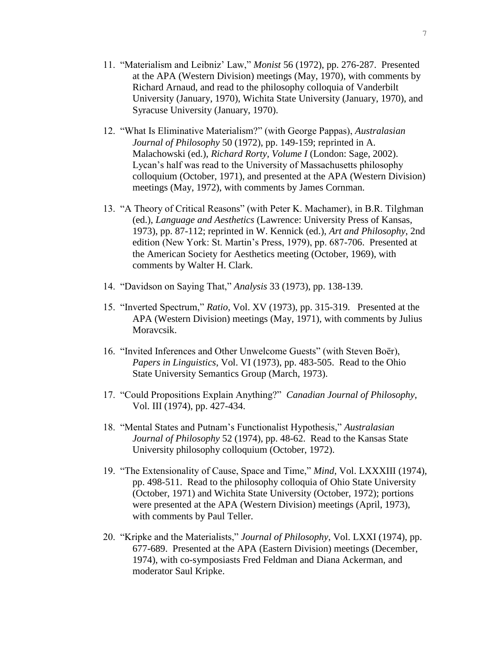- 11. "Materialism and Leibniz' Law," *Monist* 56 (1972), pp. 276-287. Presented at the APA (Western Division) meetings (May, 1970), with comments by Richard Arnaud, and read to the philosophy colloquia of Vanderbilt University (January, 1970), Wichita State University (January, 1970), and Syracuse University (January, 1970).
- 12. "What Is Eliminative Materialism?" (with George Pappas), *Australasian Journal of Philosophy* 50 (1972), pp. 149-159; reprinted in A. Malachowski (ed.), *Richard Rorty, Volume I* (London: Sage, 2002). Lycan's half was read to the University of Massachusetts philosophy colloquium (October, 1971), and presented at the APA (Western Division) meetings (May, 1972), with comments by James Cornman.
- 13. "A Theory of Critical Reasons" (with Peter K. Machamer), in B.R. Tilghman (ed.), *Language and Aesthetics* (Lawrence: University Press of Kansas, 1973), pp. 87-112; reprinted in W. Kennick (ed.), *Art and Philosophy*, 2nd edition (New York: St. Martin's Press, 1979), pp. 687-706. Presented at the American Society for Aesthetics meeting (October, 1969), with comments by Walter H. Clark.
- 14. "Davidson on Saying That," *Analysis* 33 (1973), pp. 138-139.
- 15. "Inverted Spectrum," *Ratio*, Vol. XV (1973), pp. 315-319. Presented at the APA (Western Division) meetings (May, 1971), with comments by Julius Moravcsik.
- 16. "Invited Inferences and Other Unwelcome Guests" (with Steven Boër), *Papers in Linguistics*, Vol. VI (1973), pp. 483-505. Read to the Ohio State University Semantics Group (March, 1973).
- 17. "Could Propositions Explain Anything?" *Canadian Journal of Philosophy*, Vol. III (1974), pp. 427-434.
- 18. "Mental States and Putnam's Functionalist Hypothesis," *Australasian Journal of Philosophy* 52 (1974), pp. 48-62. Read to the Kansas State University philosophy colloquium (October, 1972).
- 19. "The Extensionality of Cause, Space and Time," *Mind*, Vol. LXXXIII (1974), pp. 498-511. Read to the philosophy colloquia of Ohio State University (October, 1971) and Wichita State University (October, 1972); portions were presented at the APA (Western Division) meetings (April, 1973), with comments by Paul Teller.
- 20. "Kripke and the Materialists," *Journal of Philosophy*, Vol. LXXI (1974), pp. 677-689. Presented at the APA (Eastern Division) meetings (December, 1974), with co-symposiasts Fred Feldman and Diana Ackerman, and moderator Saul Kripke.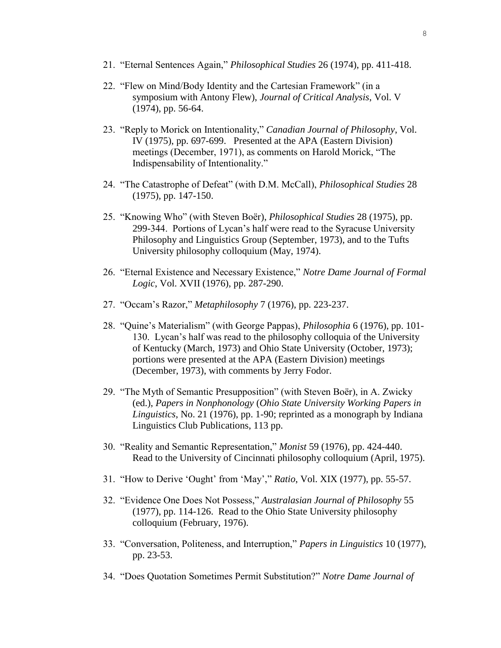- 21. "Eternal Sentences Again," *Philosophical Studies* 26 (1974), pp. 411-418.
- 22. "Flew on Mind/Body Identity and the Cartesian Framework" (in a symposium with Antony Flew), *Journal of Critical Analysis*, Vol. V (1974), pp. 56-64.
- 23. "Reply to Morick on Intentionality," *Canadian Journal of Philosophy*, Vol. IV (1975), pp. 697-699. Presented at the APA (Eastern Division) meetings (December, 1971), as comments on Harold Morick, "The Indispensability of Intentionality."
- 24. "The Catastrophe of Defeat" (with D.M. McCall), *Philosophical Studies* 28 (1975), pp. 147-150.
- 25. "Knowing Who" (with Steven Boër), *Philosophical Studies* 28 (1975), pp. 299-344. Portions of Lycan's half were read to the Syracuse University Philosophy and Linguistics Group (September, 1973), and to the Tufts University philosophy colloquium (May, 1974).
- 26. "Eternal Existence and Necessary Existence," *Notre Dame Journal of Formal Logic*, Vol. XVII (1976), pp. 287-290.
- 27. "Occam's Razor," *Metaphilosophy* 7 (1976), pp. 223-237.
- 28. "Quine's Materialism" (with George Pappas), *Philosophia* 6 (1976), pp. 101- 130. Lycan's half was read to the philosophy colloquia of the University of Kentucky (March, 1973) and Ohio State University (October, 1973); portions were presented at the APA (Eastern Division) meetings (December, 1973), with comments by Jerry Fodor.
- 29. "The Myth of Semantic Presupposition" (with Steven Boër), in A. Zwicky (ed.), *Papers in Nonphonology* (*Ohio State University Working Papers in Linguistics*, No. 21 (1976), pp. 1-90; reprinted as a monograph by Indiana Linguistics Club Publications, 113 pp.
- 30. "Reality and Semantic Representation," *Monist* 59 (1976), pp. 424-440. Read to the University of Cincinnati philosophy colloquium (April, 1975).
- 31. "How to Derive 'Ought' from 'May'," *Ratio*, Vol. XIX (1977), pp. 55-57.
- 32. "Evidence One Does Not Possess," *Australasian Journal of Philosophy* 55 (1977), pp. 114-126. Read to the Ohio State University philosophy colloquium (February, 1976).
- 33. "Conversation, Politeness, and Interruption," *Papers in Linguistics* 10 (1977), pp. 23-53.
- 34. "Does Quotation Sometimes Permit Substitution?" *Notre Dame Journal of*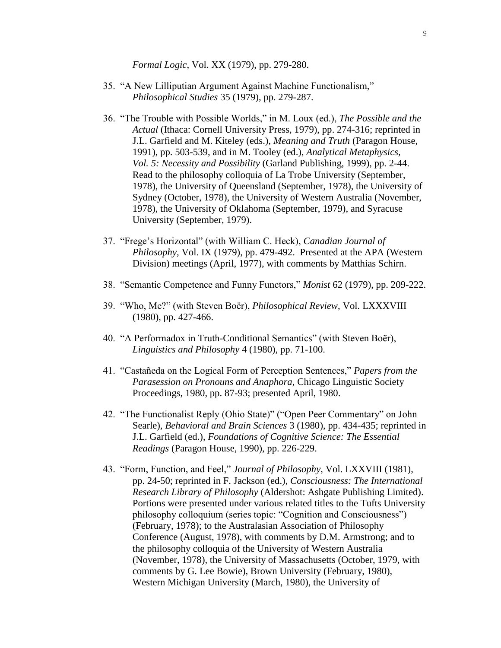*Formal Logic*, Vol. XX (1979), pp. 279-280.

- 35. "A New Lilliputian Argument Against Machine Functionalism," *Philosophical Studies* 35 (1979), pp. 279-287.
- 36. "The Trouble with Possible Worlds," in M. Loux (ed.), *The Possible and the Actual* (Ithaca: Cornell University Press, 1979), pp. 274-316; reprinted in J.L. Garfield and M. Kiteley (eds.), *Meaning and Truth* (Paragon House, 1991), pp. 503-539, and in M. Tooley (ed.), *Analytical Metaphysics, Vol. 5: Necessity and Possibility* (Garland Publishing, 1999), pp. 2-44. Read to the philosophy colloquia of La Trobe University (September, 1978), the University of Queensland (September, 1978), the University of Sydney (October, 1978), the University of Western Australia (November, 1978), the University of Oklahoma (September, 1979), and Syracuse University (September, 1979).
- 37. "Frege's Horizontal" (with William C. Heck), *Canadian Journal of Philosophy*, Vol. IX (1979), pp. 479-492. Presented at the APA (Western Division) meetings (April, 1977), with comments by Matthias Schirn.
- 38. "Semantic Competence and Funny Functors," *Monist* 62 (1979), pp. 209-222.
- 39. "Who, Me?" (with Steven Boër), *Philosophical Review*, Vol. LXXXVIII (1980), pp. 427-466.
- 40. "A Performadox in Truth-Conditional Semantics" (with Steven Boër), *Linguistics and Philosophy* 4 (1980), pp. 71-100.
- 41. "Castañeda on the Logical Form of Perception Sentences," *Papers from the Parasession on Pronouns and Anaphora*, Chicago Linguistic Society Proceedings, 1980, pp. 87-93; presented April, 1980.
- 42. "The Functionalist Reply (Ohio State)" ("Open Peer Commentary" on John Searle), *Behavioral and Brain Sciences* 3 (1980), pp. 434-435; reprinted in J.L. Garfield (ed.), *Foundations of Cognitive Science: The Essential Readings* (Paragon House, 1990), pp. 226-229.
- 43. "Form, Function, and Feel," *Journal of Philosophy*, Vol. LXXVIII (1981), pp. 24-50; reprinted in F. Jackson (ed.), *Consciousness: The International Research Library of Philosophy* (Aldershot: Ashgate Publishing Limited). Portions were presented under various related titles to the Tufts University philosophy colloquium (series topic: "Cognition and Consciousness") (February, 1978); to the Australasian Association of Philosophy Conference (August, 1978), with comments by D.M. Armstrong; and to the philosophy colloquia of the University of Western Australia (November, 1978), the University of Massachusetts (October, 1979, with comments by G. Lee Bowie), Brown University (February, 1980), Western Michigan University (March, 1980), the University of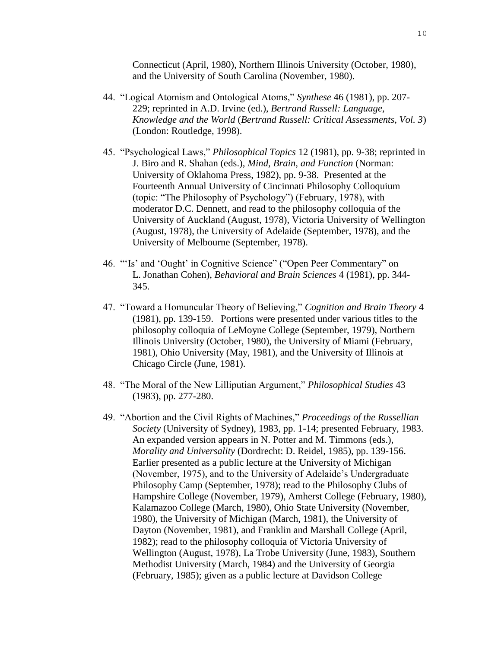Connecticut (April, 1980), Northern Illinois University (October, 1980), and the University of South Carolina (November, 1980).

- 44. "Logical Atomism and Ontological Atoms," *Synthese* 46 (1981), pp. 207- 229; reprinted in A.D. Irvine (ed.), *Bertrand Russell: Language, Knowledge and the World* (*Bertrand Russell: Critical Assessments, Vol. 3*) (London: Routledge, 1998).
- 45. "Psychological Laws," *Philosophical Topics* 12 (1981), pp. 9-38; reprinted in J. Biro and R. Shahan (eds.), *Mind, Brain, and Function* (Norman: University of Oklahoma Press, 1982), pp. 9-38. Presented at the Fourteenth Annual University of Cincinnati Philosophy Colloquium (topic: "The Philosophy of Psychology") (February, 1978), with moderator D.C. Dennett, and read to the philosophy colloquia of the University of Auckland (August, 1978), Victoria University of Wellington (August, 1978), the University of Adelaide (September, 1978), and the University of Melbourne (September, 1978).
- 46. "'Is' and 'Ought' in Cognitive Science" ("Open Peer Commentary" on L. Jonathan Cohen), *Behavioral and Brain Sciences* 4 (1981), pp. 344- 345.
- 47. "Toward a Homuncular Theory of Believing," *Cognition and Brain Theory* 4 (1981), pp. 139-159. Portions were presented under various titles to the philosophy colloquia of LeMoyne College (September, 1979), Northern Illinois University (October, 1980), the University of Miami (February, 1981), Ohio University (May, 1981), and the University of Illinois at Chicago Circle (June, 1981).
- 48. "The Moral of the New Lilliputian Argument," *Philosophical Studies* 43 (1983), pp. 277-280.
- 49. "Abortion and the Civil Rights of Machines," *Proceedings of the Russellian Society* (University of Sydney), 1983, pp. 1-14; presented February, 1983. An expanded version appears in N. Potter and M. Timmons (eds.), *Morality and Universality* (Dordrecht: D. Reidel, 1985), pp. 139-156. Earlier presented as a public lecture at the University of Michigan (November, 1975), and to the University of Adelaide's Undergraduate Philosophy Camp (September, 1978); read to the Philosophy Clubs of Hampshire College (November, 1979), Amherst College (February, 1980), Kalamazoo College (March, 1980), Ohio State University (November, 1980), the University of Michigan (March, 1981), the University of Dayton (November, 1981), and Franklin and Marshall College (April, 1982); read to the philosophy colloquia of Victoria University of Wellington (August, 1978), La Trobe University (June, 1983), Southern Methodist University (March, 1984) and the University of Georgia (February, 1985); given as a public lecture at Davidson College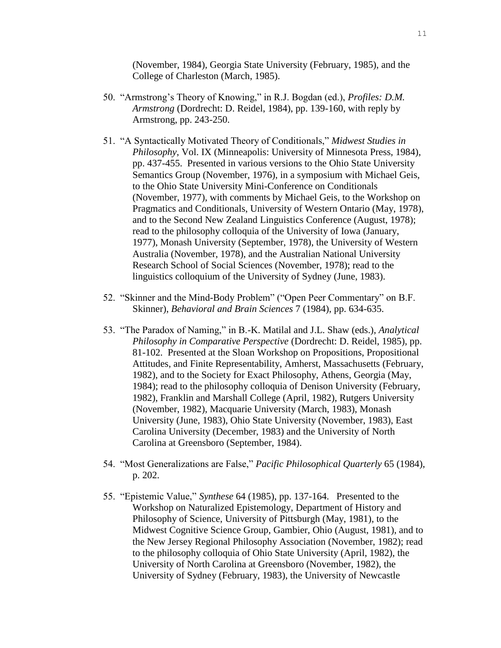(November, 1984), Georgia State University (February, 1985), and the College of Charleston (March, 1985).

- 50. "Armstrong's Theory of Knowing," in R.J. Bogdan (ed.), *Profiles: D.M. Armstrong* (Dordrecht: D. Reidel, 1984), pp. 139-160, with reply by Armstrong, pp. 243-250.
- 51. "A Syntactically Motivated Theory of Conditionals," *Midwest Studies in Philosophy*, Vol. IX (Minneapolis: University of Minnesota Press, 1984), pp. 437-455. Presented in various versions to the Ohio State University Semantics Group (November, 1976), in a symposium with Michael Geis, to the Ohio State University Mini-Conference on Conditionals (November, 1977), with comments by Michael Geis, to the Workshop on Pragmatics and Conditionals, University of Western Ontario (May, 1978), and to the Second New Zealand Linguistics Conference (August, 1978); read to the philosophy colloquia of the University of Iowa (January, 1977), Monash University (September, 1978), the University of Western Australia (November, 1978), and the Australian National University Research School of Social Sciences (November, 1978); read to the linguistics colloquium of the University of Sydney (June, 1983).
- 52. "Skinner and the Mind-Body Problem" ("Open Peer Commentary" on B.F. Skinner), *Behavioral and Brain Sciences* 7 (1984), pp. 634-635.
- 53. "The Paradox of Naming," in B.-K. Matilal and J.L. Shaw (eds.), *Analytical Philosophy in Comparative Perspective* (Dordrecht: D. Reidel, 1985), pp. 81-102. Presented at the Sloan Workshop on Propositions, Propositional Attitudes, and Finite Representability, Amherst, Massachusetts (February, 1982), and to the Society for Exact Philosophy, Athens, Georgia (May, 1984); read to the philosophy colloquia of Denison University (February, 1982), Franklin and Marshall College (April, 1982), Rutgers University (November, 1982), Macquarie University (March, 1983), Monash University (June, 1983), Ohio State University (November, 1983), East Carolina University (December, 1983) and the University of North Carolina at Greensboro (September, 1984).
- 54. "Most Generalizations are False," *Pacific Philosophical Quarterly* 65 (1984), p. 202.
- 55. "Epistemic Value," *Synthese* 64 (1985), pp. 137-164. Presented to the Workshop on Naturalized Epistemology, Department of History and Philosophy of Science, University of Pittsburgh (May, 1981), to the Midwest Cognitive Science Group, Gambier, Ohio (August, 1981), and to the New Jersey Regional Philosophy Association (November, 1982); read to the philosophy colloquia of Ohio State University (April, 1982), the University of North Carolina at Greensboro (November, 1982), the University of Sydney (February, 1983), the University of Newcastle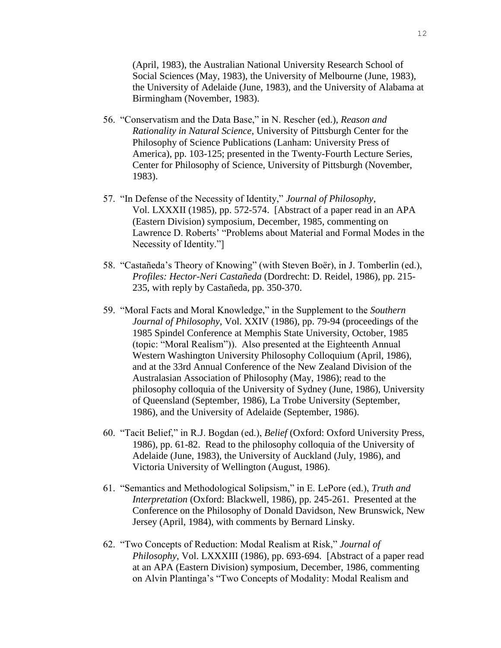(April, 1983), the Australian National University Research School of Social Sciences (May, 1983), the University of Melbourne (June, 1983), the University of Adelaide (June, 1983), and the University of Alabama at Birmingham (November, 1983).

- 56. "Conservatism and the Data Base," in N. Rescher (ed.), *Reason and Rationality in Natural Science*, University of Pittsburgh Center for the Philosophy of Science Publications (Lanham: University Press of America), pp. 103-125; presented in the Twenty-Fourth Lecture Series, Center for Philosophy of Science, University of Pittsburgh (November, 1983).
- 57. "In Defense of the Necessity of Identity," *Journal of Philosophy*, Vol. LXXXII (1985), pp. 572-574. [Abstract of a paper read in an APA (Eastern Division) symposium, December, 1985, commenting on Lawrence D. Roberts' "Problems about Material and Formal Modes in the Necessity of Identity."]
- 58. "Castañeda's Theory of Knowing" (with Steven Boër), in J. Tomberlin (ed.), *Profiles: Hector-Neri Castañeda* (Dordrecht: D. Reidel, 1986), pp. 215- 235, with reply by Castañeda, pp. 350-370.
- 59. "Moral Facts and Moral Knowledge," in the Supplement to the *Southern Journal of Philosophy*, Vol. XXIV (1986), pp. 79-94 (proceedings of the 1985 Spindel Conference at Memphis State University, October, 1985 (topic: "Moral Realism")). Also presented at the Eighteenth Annual Western Washington University Philosophy Colloquium (April, 1986), and at the 33rd Annual Conference of the New Zealand Division of the Australasian Association of Philosophy (May, 1986); read to the philosophy colloquia of the University of Sydney (June, 1986), University of Queensland (September, 1986), La Trobe University (September, 1986), and the University of Adelaide (September, 1986).
- 60. "Tacit Belief," in R.J. Bogdan (ed.), *Belief* (Oxford: Oxford University Press, 1986), pp. 61-82. Read to the philosophy colloquia of the University of Adelaide (June, 1983), the University of Auckland (July, 1986), and Victoria University of Wellington (August, 1986).
- 61. "Semantics and Methodological Solipsism," in E. LePore (ed.), *Truth and Interpretation* (Oxford: Blackwell, 1986), pp. 245-261. Presented at the Conference on the Philosophy of Donald Davidson, New Brunswick, New Jersey (April, 1984), with comments by Bernard Linsky.
- 62. "Two Concepts of Reduction: Modal Realism at Risk," *Journal of Philosophy*, Vol. LXXXIII (1986), pp. 693-694. [Abstract of a paper read at an APA (Eastern Division) symposium, December, 1986, commenting on Alvin Plantinga's "Two Concepts of Modality: Modal Realism and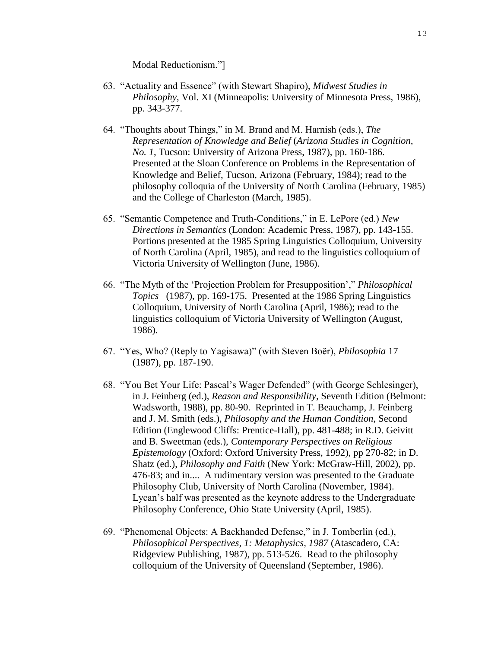Modal Reductionism."]

- 63. "Actuality and Essence" (with Stewart Shapiro), *Midwest Studies in Philosophy*, Vol. XI (Minneapolis: University of Minnesota Press, 1986), pp. 343-377.
- 64. "Thoughts about Things," in M. Brand and M. Harnish (eds.), *The Representation of Knowledge and Belief* (*Arizona Studies in Cognition, No. 1*, Tucson: University of Arizona Press, 1987), pp. 160-186. Presented at the Sloan Conference on Problems in the Representation of Knowledge and Belief, Tucson, Arizona (February, 1984); read to the philosophy colloquia of the University of North Carolina (February, 1985) and the College of Charleston (March, 1985).
- 65. "Semantic Competence and Truth-Conditions," in E. LePore (ed.) *New Directions in Semantics* (London: Academic Press, 1987), pp. 143-155. Portions presented at the 1985 Spring Linguistics Colloquium, University of North Carolina (April, 1985), and read to the linguistics colloquium of Victoria University of Wellington (June, 1986).
- 66. "The Myth of the 'Projection Problem for Presupposition'," *Philosophical Topics* (1987), pp. 169-175. Presented at the 1986 Spring Linguistics Colloquium, University of North Carolina (April, 1986); read to the linguistics colloquium of Victoria University of Wellington (August, 1986).
- 67. "Yes, Who? (Reply to Yagisawa)" (with Steven Boër), *Philosophia* 17 (1987), pp. 187-190.
- 68. "You Bet Your Life: Pascal's Wager Defended" (with George Schlesinger), in J. Feinberg (ed.), *Reason and Responsibility*, Seventh Edition (Belmont: Wadsworth, 1988), pp. 80-90. Reprinted in T. Beauchamp, J. Feinberg and J. M. Smith (eds.), *Philosophy and the Human Condition*, Second Edition (Englewood Cliffs: Prentice-Hall), pp. 481-488; in R.D. Geivitt and B. Sweetman (eds.), *Contemporary Perspectives on Religious Epistemology* (Oxford: Oxford University Press, 1992), pp 270-82; in D. Shatz (ed.), *Philosophy and Faith* (New York: McGraw-Hill, 2002), pp. 476-83; and in.... A rudimentary version was presented to the Graduate Philosophy Club, University of North Carolina (November, 1984). Lycan's half was presented as the keynote address to the Undergraduate Philosophy Conference, Ohio State University (April, 1985).
- 69. "Phenomenal Objects: A Backhanded Defense," in J. Tomberlin (ed.), *Philosophical Perspectives, 1: Metaphysics, 1987* (Atascadero, CA: Ridgeview Publishing, 1987), pp. 513-526. Read to the philosophy colloquium of the University of Queensland (September, 1986).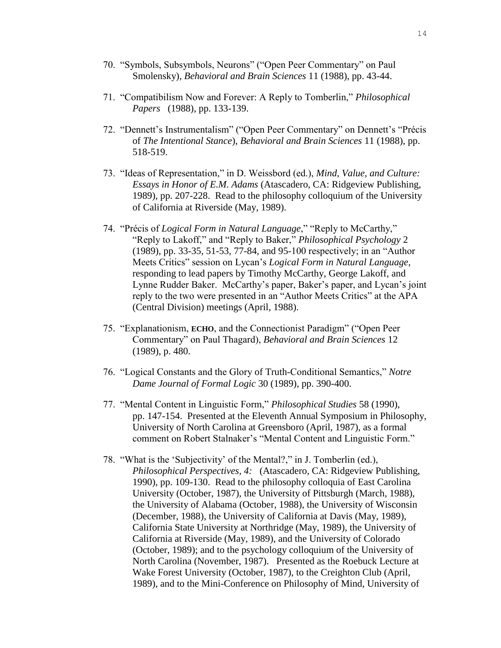- 70. "Symbols, Subsymbols, Neurons" ("Open Peer Commentary" on Paul Smolensky), *Behavioral and Brain Sciences* 11 (1988), pp. 43-44.
- 71. "Compatibilism Now and Forever: A Reply to Tomberlin," *Philosophical Papers* (1988), pp. 133-139.
- 72. "Dennett's Instrumentalism" ("Open Peer Commentary" on Dennett's "Précis of *The Intentional Stance*), *Behavioral and Brain Sciences* 11 (1988), pp. 518-519.
- 73. "Ideas of Representation," in D. Weissbord (ed.), *Mind, Value, and Culture: Essays in Honor of E.M. Adams* (Atascadero, CA: Ridgeview Publishing, 1989), pp. 207-228. Read to the philosophy colloquium of the University of California at Riverside (May, 1989).
- 74. "Précis of *Logical Form in Natural Language*," "Reply to McCarthy," "Reply to Lakoff," and "Reply to Baker," *Philosophical Psychology* 2 (1989), pp. 33-35, 51-53, 77-84, and 95-100 respectively; in an "Author Meets Critics" session on Lycan's *Logical Form in Natural Language*, responding to lead papers by Timothy McCarthy, George Lakoff, and Lynne Rudder Baker. McCarthy's paper, Baker's paper, and Lycan's joint reply to the two were presented in an "Author Meets Critics" at the APA (Central Division) meetings (April, 1988).
- 75. "Explanationism, **ECHO**, and the Connectionist Paradigm" ("Open Peer Commentary" on Paul Thagard), *Behavioral and Brain Sciences* 12 (1989), p. 480.
- 76. "Logical Constants and the Glory of Truth-Conditional Semantics," *Notre Dame Journal of Formal Logic* 30 (1989), pp. 390-400.
- 77. "Mental Content in Linguistic Form," *Philosophical Studies* 58 (1990), pp. 147-154. Presented at the Eleventh Annual Symposium in Philosophy, University of North Carolina at Greensboro (April, 1987), as a formal comment on Robert Stalnaker's "Mental Content and Linguistic Form."
- 78. "What is the 'Subjectivity' of the Mental?," in J. Tomberlin (ed.), *Philosophical Perspectives, 4:* (Atascadero, CA: Ridgeview Publishing, 1990), pp. 109-130. Read to the philosophy colloquia of East Carolina University (October, 1987), the University of Pittsburgh (March, 1988), the University of Alabama (October, 1988), the University of Wisconsin (December, 1988), the University of California at Davis (May, 1989), California State University at Northridge (May, 1989), the University of California at Riverside (May, 1989), and the University of Colorado (October, 1989); and to the psychology colloquium of the University of North Carolina (November, 1987). Presented as the Roebuck Lecture at Wake Forest University (October, 1987), to the Creighton Club (April, 1989), and to the Mini-Conference on Philosophy of Mind, University of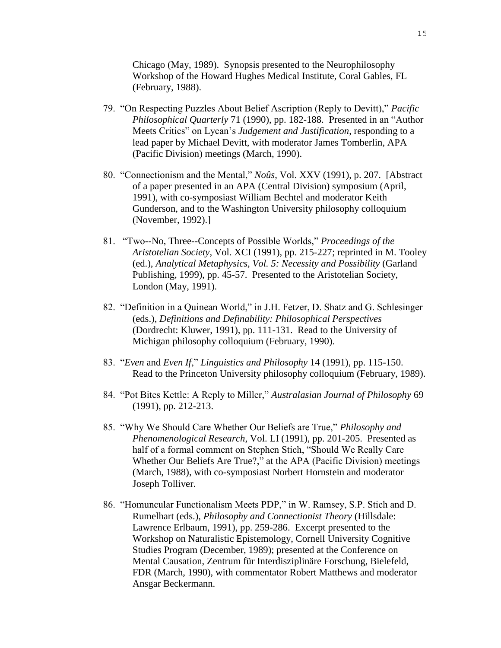Chicago (May, 1989). Synopsis presented to the Neurophilosophy Workshop of the Howard Hughes Medical Institute, Coral Gables, FL (February, 1988).

- 79. "On Respecting Puzzles About Belief Ascription (Reply to Devitt)," *Pacific Philosophical Quarterly* 71 (1990), pp. 182-188. Presented in an "Author Meets Critics" on Lycan's *Judgement and Justification*, responding to a lead paper by Michael Devitt, with moderator James Tomberlin, APA (Pacific Division) meetings (March, 1990).
- 80. "Connectionism and the Mental," *Noûs*, Vol. XXV (1991), p. 207. [Abstract of a paper presented in an APA (Central Division) symposium (April, 1991), with co-symposiast William Bechtel and moderator Keith Gunderson, and to the Washington University philosophy colloquium (November, 1992).]
- 81. "Two--No, Three--Concepts of Possible Worlds," *Proceedings of the Aristotelian Society*, Vol. XCI (1991), pp. 215-227; reprinted in M. Tooley (ed.), *Analytical Metaphysics, Vol. 5: Necessity and Possibility* (Garland Publishing, 1999), pp. 45-57. Presented to the Aristotelian Society, London (May, 1991).
- 82. "Definition in a Quinean World," in J.H. Fetzer, D. Shatz and G. Schlesinger (eds.), *Definitions and Definability: Philosophical Perspectives* (Dordrecht: Kluwer, 1991), pp. 111-131. Read to the University of Michigan philosophy colloquium (February, 1990).
- 83. "*Even* and *Even If*," *Linguistics and Philosophy* 14 (1991), pp. 115-150. Read to the Princeton University philosophy colloquium (February, 1989).
- 84. "Pot Bites Kettle: A Reply to Miller," *Australasian Journal of Philosophy* 69 (1991), pp. 212-213.
- 85. "Why We Should Care Whether Our Beliefs are True," *Philosophy and Phenomenological Research*, Vol. LI (1991), pp. 201-205. Presented as half of a formal comment on Stephen Stich, "Should We Really Care Whether Our Beliefs Are True?," at the APA (Pacific Division) meetings (March, 1988), with co-symposiast Norbert Hornstein and moderator Joseph Tolliver.
- 86. "Homuncular Functionalism Meets PDP," in W. Ramsey, S.P. Stich and D. Rumelhart (eds.), *Philosophy and Connectionist Theory* (Hillsdale: Lawrence Erlbaum, 1991), pp. 259-286. Excerpt presented to the Workshop on Naturalistic Epistemology, Cornell University Cognitive Studies Program (December, 1989); presented at the Conference on Mental Causation, Zentrum für Interdisziplinäre Forschung, Bielefeld, FDR (March, 1990), with commentator Robert Matthews and moderator Ansgar Beckermann.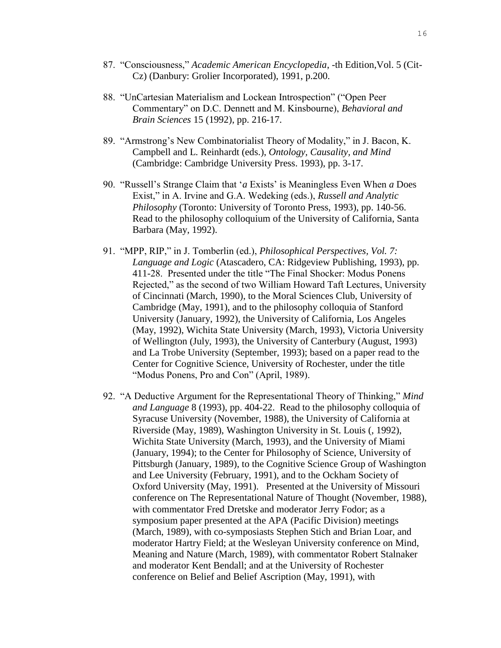- 87. "Consciousness," *Academic American Encyclopedia*, -th Edition,Vol. 5 (Cit-Cz) (Danbury: Grolier Incorporated), 1991, p.200.
- 88. "UnCartesian Materialism and Lockean Introspection" ("Open Peer Commentary" on D.C. Dennett and M. Kinsbourne), *Behavioral and Brain Sciences* 15 (1992), pp. 216-17.
- 89. "Armstrong's New Combinatorialist Theory of Modality," in J. Bacon, K. Campbell and L. Reinhardt (eds.), *Ontology, Causality, and Mind* (Cambridge: Cambridge University Press. 1993), pp. 3-17.
- 90. "Russell's Strange Claim that '*a* Exists' is Meaningless Even When *a* Does Exist," in A. Irvine and G.A. Wedeking (eds.), *Russell and Analytic Philosophy* (Toronto: University of Toronto Press, 1993), pp. 140-56. Read to the philosophy colloquium of the University of California, Santa Barbara (May, 1992).
- 91. "MPP, RIP," in J. Tomberlin (ed.), *Philosophical Perspectives, Vol. 7: Language and Logic* (Atascadero, CA: Ridgeview Publishing, 1993), pp. 411-28. Presented under the title "The Final Shocker: Modus Ponens Rejected," as the second of two William Howard Taft Lectures, University of Cincinnati (March, 1990), to the Moral Sciences Club, University of Cambridge (May, 1991), and to the philosophy colloquia of Stanford University (January, 1992), the University of California, Los Angeles (May, 1992), Wichita State University (March, 1993), Victoria University of Wellington (July, 1993), the University of Canterbury (August, 1993) and La Trobe University (September, 1993); based on a paper read to the Center for Cognitive Science, University of Rochester, under the title "Modus Ponens, Pro and Con" (April, 1989).
- 92. "A Deductive Argument for the Representational Theory of Thinking," *Mind and Language* 8 (1993), pp. 404-22. Read to the philosophy colloquia of Syracuse University (November, 1988), the University of California at Riverside (May, 1989), Washington University in St. Louis (, 1992), Wichita State University (March, 1993), and the University of Miami (January, 1994); to the Center for Philosophy of Science, University of Pittsburgh (January, 1989), to the Cognitive Science Group of Washington and Lee University (February, 1991), and to the Ockham Society of Oxford University (May, 1991). Presented at the University of Missouri conference on The Representational Nature of Thought (November, 1988), with commentator Fred Dretske and moderator Jerry Fodor; as a symposium paper presented at the APA (Pacific Division) meetings (March, 1989), with co-symposiasts Stephen Stich and Brian Loar, and moderator Hartry Field; at the Wesleyan University conference on Mind, Meaning and Nature (March, 1989), with commentator Robert Stalnaker and moderator Kent Bendall; and at the University of Rochester conference on Belief and Belief Ascription (May, 1991), with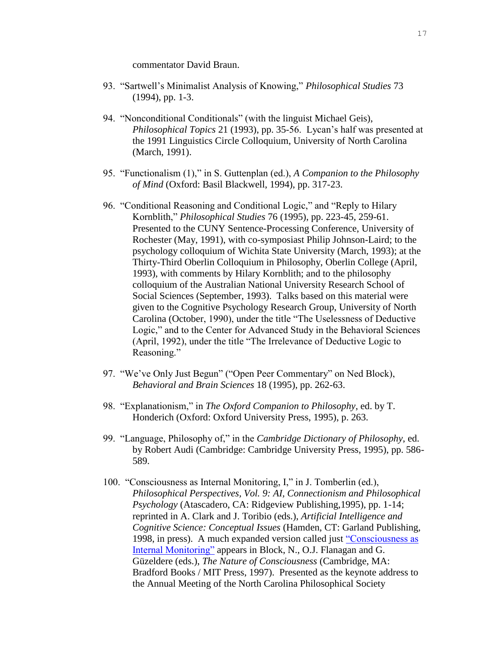commentator David Braun.

- 93. "Sartwell's Minimalist Analysis of Knowing," *Philosophical Studies* 73 (1994), pp. 1-3.
- 94. "Nonconditional Conditionals" (with the linguist Michael Geis), *Philosophical Topics* 21 (1993), pp. 35-56. Lycan's half was presented at the 1991 Linguistics Circle Colloquium, University of North Carolina (March, 1991).
- 95. "Functionalism (1)," in S. Guttenplan (ed.), *A Companion to the Philosophy of Mind* (Oxford: Basil Blackwell, 1994), pp. 317-23.
- 96. "Conditional Reasoning and Conditional Logic," and "Reply to Hilary Kornblith," *Philosophical Studies* 76 (1995), pp. 223-45, 259-61. Presented to the CUNY Sentence-Processing Conference, University of Rochester (May, 1991), with co-symposiast Philip Johnson-Laird; to the psychology colloquium of Wichita State University (March, 1993); at the Thirty-Third Oberlin Colloquium in Philosophy, Oberlin College (April, 1993), with comments by Hilary Kornblith; and to the philosophy colloquium of the Australian National University Research School of Social Sciences (September, 1993). Talks based on this material were given to the Cognitive Psychology Research Group, University of North Carolina (October, 1990), under the title "The Uselessness of Deductive Logic," and to the Center for Advanced Study in the Behavioral Sciences (April, 1992), under the title "The Irrelevance of Deductive Logic to Reasoning."
- 97. "We've Only Just Begun" ("Open Peer Commentary" on Ned Block), *Behavioral and Brain Sciences* 18 (1995), pp. 262-63.
- 98. "Explanationism," in *The Oxford Companion to Philosophy*, ed. by T. Honderich (Oxford: Oxford University Press, 1995), p. 263.
- 99. "Language, Philosophy of," in the *Cambridge Dictionary of Philosophy*, ed. by Robert Audi (Cambridge: Cambridge University Press, 1995), pp. 586- 589.
- 100. "Consciousness as Internal Monitoring, I," in J. Tomberlin (ed.), *Philosophical Perspectives, Vol. 9: AI, Connectionism and Philosophical Psychology* (Atascadero, CA: Ridgeview Publishing,1995), pp. 1-14; reprinted in A. Clark and J. Toribio (eds.), *Artificial Intelligence and Cognitive Science: Conceptual Issues* (Hamden, CT: Garland Publishing, 1998, in press). A much expanded version called just ["Consciousness as](http://www.nd.edu/~lstubenb/Lycan.html)  [Internal Monitoring"](http://www.nd.edu/~lstubenb/Lycan.html) appears in Block, N., O.J. Flanagan and G. Güzeldere (eds.), *The Nature of Consciousness* (Cambridge, MA: Bradford Books / MIT Press, 1997). Presented as the keynote address to the Annual Meeting of the North Carolina Philosophical Society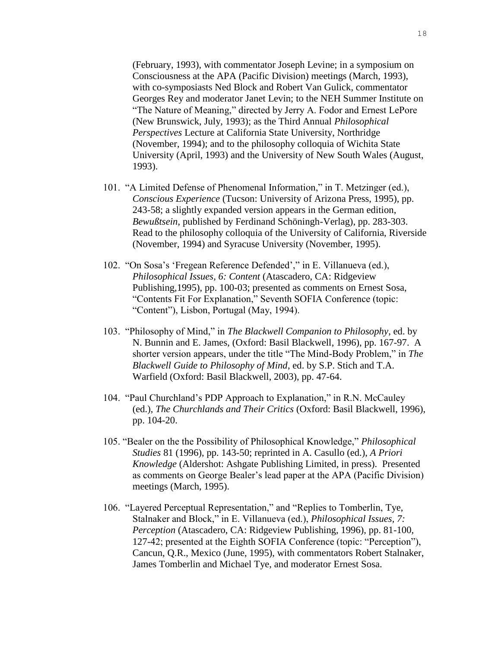(February, 1993), with commentator Joseph Levine; in a symposium on Consciousness at the APA (Pacific Division) meetings (March, 1993), with co-symposiasts Ned Block and Robert Van Gulick, commentator Georges Rey and moderator Janet Levin; to the NEH Summer Institute on "The Nature of Meaning," directed by Jerry A. Fodor and Ernest LePore (New Brunswick, July, 1993); as the Third Annual *Philosophical Perspectives* Lecture at California State University, Northridge (November, 1994); and to the philosophy colloquia of Wichita State University (April, 1993) and the University of New South Wales (August, 1993).

- 101. "A Limited Defense of Phenomenal Information," in T. Metzinger (ed.), *Conscious Experience* (Tucson: University of Arizona Press, 1995), pp. 243-58; a slightly expanded version appears in the German edition, *Bewußtsein*, published by Ferdinand Schöningh-Verlag), pp. 283-303. Read to the philosophy colloquia of the University of California, Riverside (November, 1994) and Syracuse University (November, 1995).
- 102. "On Sosa's 'Fregean Reference Defended'," in E. Villanueva (ed.), *Philosophical Issues, 6: Content* (Atascadero, CA: Ridgeview Publishing,1995), pp. 100-03; presented as comments on Ernest Sosa, "Contents Fit For Explanation," Seventh SOFIA Conference (topic: "Content"), Lisbon, Portugal (May, 1994).
- 103. "Philosophy of Mind," in *The Blackwell Companion to Philosophy*, ed. by N. Bunnin and E. James, (Oxford: Basil Blackwell, 1996), pp. 167-97. A shorter version appears, under the title "The Mind-Body Problem," in *The Blackwell Guide to Philosophy of Mind*, ed. by S.P. Stich and T.A. Warfield (Oxford: Basil Blackwell, 2003), pp. 47-64.
- 104. "Paul Churchland's PDP Approach to Explanation," in R.N. McCauley (ed.), *The Churchlands and Their Critics* (Oxford: Basil Blackwell, 1996), pp. 104-20.
- 105. "Bealer on the the Possibility of Philosophical Knowledge," *Philosophical Studies* 81 (1996), pp. 143-50; reprinted in A. Casullo (ed.), *A Priori Knowledge* (Aldershot: Ashgate Publishing Limited, in press). Presented as comments on George Bealer's lead paper at the APA (Pacific Division) meetings (March, 1995).
- 106. "Layered Perceptual Representation," and "Replies to Tomberlin, Tye, Stalnaker and Block," in E. Villanueva (ed.), *Philosophical Issues, 7: Perception* (Atascadero, CA: Ridgeview Publishing, 1996), pp. 81-100, 127-42; presented at the Eighth SOFIA Conference (topic: "Perception"), Cancun, Q.R., Mexico (June, 1995), with commentators Robert Stalnaker, James Tomberlin and Michael Tye, and moderator Ernest Sosa.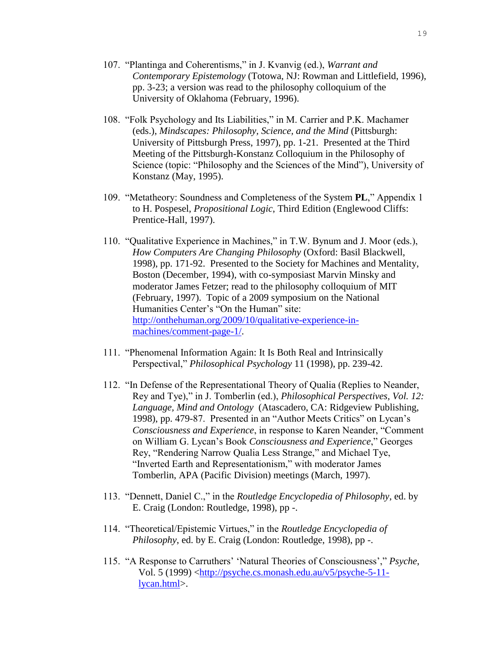- 107. "Plantinga and Coherentisms," in J. Kvanvig (ed.), *Warrant and Contemporary Epistemology* (Totowa, NJ: Rowman and Littlefield, 1996), pp. 3-23; a version was read to the philosophy colloquium of the University of Oklahoma (February, 1996).
- 108. "Folk Psychology and Its Liabilities," in M. Carrier and P.K. Machamer (eds.), *Mindscapes: Philosophy, Science, and the Mind* (Pittsburgh: University of Pittsburgh Press, 1997), pp. 1-21. Presented at the Third Meeting of the Pittsburgh-Konstanz Colloquium in the Philosophy of Science (topic: "Philosophy and the Sciences of the Mind"), University of Konstanz (May, 1995).
- 109. "Metatheory: Soundness and Completeness of the System **PL**," Appendix 1 to H. Pospesel, *Propositional Logic*, Third Edition (Englewood Cliffs: Prentice-Hall, 1997).
- 110. "Qualitative Experience in Machines," in T.W. Bynum and J. Moor (eds.), *How Computers Are Changing Philosophy* (Oxford: Basil Blackwell, 1998), pp. 171-92. Presented to the Society for Machines and Mentality, Boston (December, 1994), with co-symposiast Marvin Minsky and moderator James Fetzer; read to the philosophy colloquium of MIT (February, 1997). Topic of a 2009 symposium on the National Humanities Center's "On the Human" site: [http://onthehuman.org/2009/10/qualitative-experience-in](http://onthehuman.org/2009/10/qualitative-experience-in-machines/comment-page-1/)[machines/comment-page-1/.](http://onthehuman.org/2009/10/qualitative-experience-in-machines/comment-page-1/)
- 111. "Phenomenal Information Again: It Is Both Real and Intrinsically Perspectival," *Philosophical Psychology* 11 (1998), pp. 239-42.
- 112. "In Defense of the Representational Theory of Qualia (Replies to Neander, Rey and Tye)," in J. Tomberlin (ed.), *Philosophical Perspectives, Vol. 12: Language, Mind and Ontology* (Atascadero, CA: Ridgeview Publishing, 1998), pp. 479-87. Presented in an "Author Meets Critics" on Lycan's *Consciousness and Experience*, in response to Karen Neander, "Comment on William G. Lycan's Book *Consciousness and Experience*," Georges Rey, "Rendering Narrow Qualia Less Strange," and Michael Tye, "Inverted Earth and Representationism," with moderator James Tomberlin, APA (Pacific Division) meetings (March, 1997).
- 113. "Dennett, Daniel C.," in the *Routledge Encyclopedia of Philosophy*, ed. by E. Craig (London: Routledge, 1998), pp -.
- 114. "Theoretical/Epistemic Virtues," in the *Routledge Encyclopedia of Philosophy*, ed. by E. Craig (London: Routledge, 1998), pp -.
- 115. "A Response to Carruthers' 'Natural Theories of Consciousness'," *Psyche*, Vol. 5 (1999) [<http://psyche.cs.monash.edu.au/v5/psyche-5-11](http://psyche.cs.monash.edu.au/v5) [lycan.html>](http://psyche.cs.monash.edu.au/v5).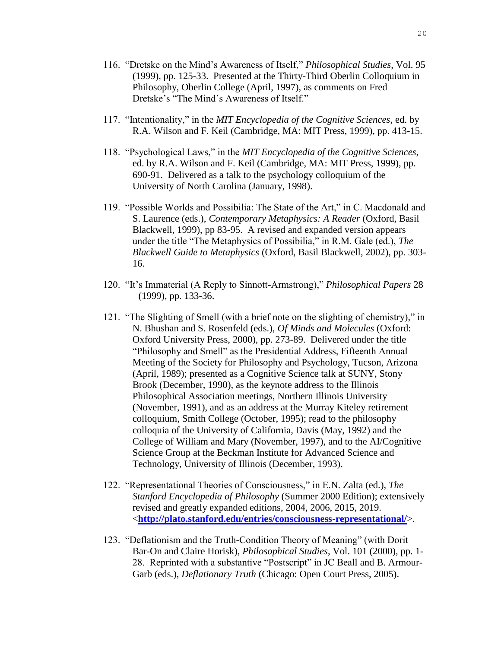- 116. "Dretske on the Mind's Awareness of Itself," *Philosophical Studies*, Vol. 95 (1999), pp. 125-33. Presented at the Thirty-Third Oberlin Colloquium in Philosophy, Oberlin College (April, 1997), as comments on Fred Dretske's "The Mind's Awareness of Itself."
- 117. "Intentionality," in the *MIT Encyclopedia of the Cognitive Sciences*, ed. by R.A. Wilson and F. Keil (Cambridge, MA: MIT Press, 1999), pp. 413-15.
- 118. "Psychological Laws," in the *MIT Encyclopedia of the Cognitive Sciences*, ed. by R.A. Wilson and F. Keil (Cambridge, MA: MIT Press, 1999), pp. 690-91. Delivered as a talk to the psychology colloquium of the University of North Carolina (January, 1998).
- 119. "Possible Worlds and Possibilia: The State of the Art," in C. Macdonald and S. Laurence (eds.), *Contemporary Metaphysics: A Reader* (Oxford, Basil Blackwell, 1999), pp 83-95. A revised and expanded version appears under the title "The Metaphysics of Possibilia," in R.M. Gale (ed.), *The Blackwell Guide to Metaphysics* (Oxford, Basil Blackwell, 2002), pp. 303- 16.
- 120. "It's Immaterial (A Reply to Sinnott-Armstrong)," *Philosophical Papers* 28 (1999), pp. 133-36.
- 121. "The Slighting of Smell (with a brief note on the slighting of chemistry)," in N. Bhushan and S. Rosenfeld (eds.), *Of Minds and Molecules* (Oxford: Oxford University Press, 2000), pp. 273-89. Delivered under the title "Philosophy and Smell" as the Presidential Address, Fifteenth Annual Meeting of the Society for Philosophy and Psychology, Tucson, Arizona (April, 1989); presented as a Cognitive Science talk at SUNY, Stony Brook (December, 1990), as the keynote address to the Illinois Philosophical Association meetings, Northern Illinois University (November, 1991), and as an address at the Murray Kiteley retirement colloquium, Smith College (October, 1995); read to the philosophy colloquia of the University of California, Davis (May, 1992) and the College of William and Mary (November, 1997), and to the AI/Cognitive Science Group at the Beckman Institute for Advanced Science and Technology, University of Illinois (December, 1993).
- 122. "Representational Theories of Consciousness," in E.N. Zalta (ed.), *The Stanford Encyclopedia of Philosophy* (Summer 2000 Edition); extensively revised and greatly expanded editions, 2004, 2006, 2015, 2019. <**<http://plato.stanford.edu/entries/consciousness-representational/>**>.
- 123. "Deflationism and the Truth-Condition Theory of Meaning" (with Dorit Bar-On and Claire Horisk), *Philosophical Studies*, Vol. 101 (2000), pp. 1- 28. Reprinted with a substantive "Postscript" in JC Beall and B. Armour-Garb (eds.), *Deflationary Truth* (Chicago: Open Court Press, 2005).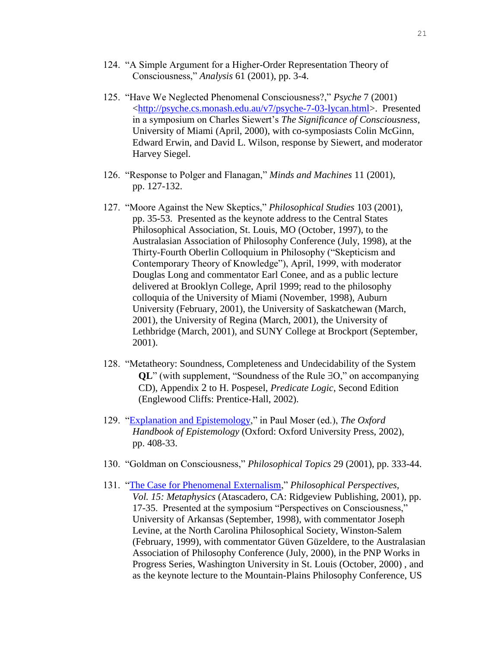- 124. "A Simple Argument for a Higher-Order Representation Theory of Consciousness," *Analysis* 61 (2001), pp. 3-4.
- 125. "Have We Neglected Phenomenal Consciousness?," *Psyche* 7 (2001) [<http://psyche.cs.monash.edu.au/v7/psyche-7-03-lycan.html>](http://psyche.cs.monash.edu.au/v7/psyche-7-03-lycan.html). Presented in a symposium on Charles Siewert's *The Significance of Consciousness*, University of Miami (April, 2000), with co-symposiasts Colin McGinn, Edward Erwin, and David L. Wilson, response by Siewert, and moderator Harvey Siegel.
- 126. "Response to Polger and Flanagan," *Minds and Machines* 11 (2001), pp. 127-132.
- 127. "Moore Against the New Skeptics," *Philosophical Studies* 103 (2001), pp. 35-53. Presented as the keynote address to the Central States Philosophical Association, St. Louis, MO (October, 1997), to the Australasian Association of Philosophy Conference (July, 1998), at the Thirty-Fourth Oberlin Colloquium in Philosophy ("Skepticism and Contemporary Theory of Knowledge"), April, 1999, with moderator Douglas Long and commentator Earl Conee, and as a public lecture delivered at Brooklyn College, April 1999; read to the philosophy colloquia of the University of Miami (November, 1998), Auburn University (February, 2001), the University of Saskatchewan (March, 2001), the University of Regina (March, 2001), the University of Lethbridge (March, 2001), and SUNY College at Brockport (September, 2001).
- 128. "Metatheory: Soundness, Completeness and Undecidability of the System **QL**" (with supplement, "Soundness of the Rule ∃O," on accompanying CD), Appendix 2 to H. Pospesel, *Predicate Logic*, Second Edition (Englewood Cliffs: Prentice-Hall, 2002).
- 129. ["Explanation and Epistemology,](http://www.unc.edu/~ujanel/Moser.htm)" in Paul Moser (ed.), *The Oxford Handbook of Epistemology* (Oxford: Oxford University Press, 2002), pp. 408-33.
- 130. "Goldman on Consciousness," *Philosophical Topics* 29 (2001), pp. 333-44.
- 131. ["The Case for Phenomenal Externalism,](http://www.unc.edu/~ujanel/CaPhExt.htm)" *Philosophical Perspectives, Vol. 15: Metaphysics* (Atascadero, CA: Ridgeview Publishing, 2001), pp. 17-35. Presented at the symposium "Perspectives on Consciousness," University of Arkansas (September, 1998), with commentator Joseph Levine, at the North Carolina Philosophical Society, Winston-Salem (February, 1999), with commentator Güven Güzeldere, to the Australasian Association of Philosophy Conference (July, 2000), in the PNP Works in Progress Series, Washington University in St. Louis (October, 2000) , and as the keynote lecture to the Mountain-Plains Philosophy Conference, US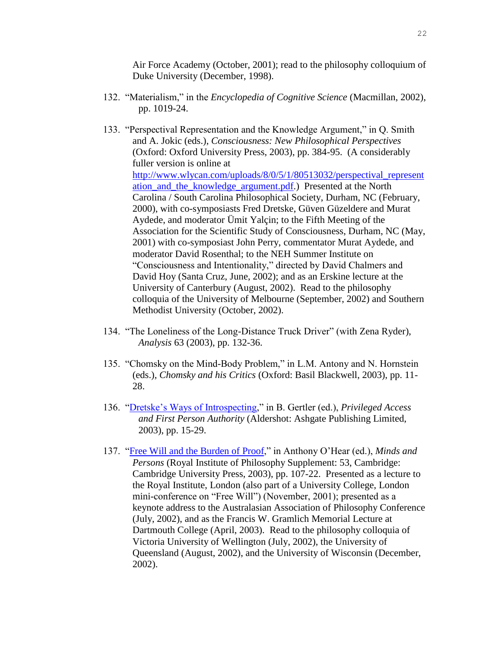Air Force Academy (October, 2001); read to the philosophy colloquium of Duke University (December, 1998).

- 132. "Materialism," in the *Encyclopedia of Cognitive Science* (Macmillan, 2002), pp. 1019-24.
- 133. "Perspectival Representation and the Knowledge Argument," in Q. Smith and A. Jokic (eds.), *Consciousness: New Philosophical Perspectives* (Oxford: Oxford University Press, 2003), pp. 384-95. (A considerably fuller version is online at [http://www.wlycan.com/uploads/8/0/5/1/80513032/perspectival\\_represent](http://www.wlycan.com/uploads/8/0/5/1/80513032/perspectival_representation_and_the_knowledge_argument.pdf) [ation\\_and\\_the\\_knowledge\\_argument.pdf.](http://www.wlycan.com/uploads/8/0/5/1/80513032/perspectival_representation_and_the_knowledge_argument.pdf)) Presented at the North Carolina / South Carolina Philosophical Society, Durham, NC (February, 2000), with co-symposiasts Fred Dretske, Güven Güzeldere and Murat Aydede, and moderator Ümit Yalçin; to the Fifth Meeting of the Association for the Scientific Study of Consciousness, Durham, NC (May, 2001) with co-symposiast John Perry, commentator Murat Aydede, and moderator David Rosenthal; to the NEH Summer Institute on "Consciousness and Intentionality," directed by David Chalmers and David Hoy (Santa Cruz, June, 2002); and as an Erskine lecture at the University of Canterbury (August, 2002). Read to the philosophy colloquia of the University of Melbourne (September, 2002) and Southern Methodist University (October, 2002).
- 134. "The Loneliness of the Long-Distance Truck Driver" (with Zena Ryder), *Analysis* 63 (2003), pp. 132-36.
- 135. "Chomsky on the Mind-Body Problem," in L.M. Antony and N. Hornstein (eds.), *Chomsky and his Critics* (Oxford: Basil Blackwell, 2003), pp. 11- 28.
- 136. ["Dretske's Ways of Introspecting,](http://www.unc.edu/~ujanel/DretWays.htm)" in B. Gertler (ed.), *Privileged Access and First Person Authority* (Aldershot: Ashgate Publishing Limited, 2003), pp. 15-29.
- 137. ["Free Will and the Burden of Proof,](http://www.unc.edu/~ujanel/FreeBurden.htm)" in Anthony O'Hear (ed.), *Minds and Persons* (Royal Institute of Philosophy Supplement: 53, Cambridge: Cambridge University Press, 2003), pp. 107-22. Presented as a lecture to the Royal Institute, London (also part of a University College, London mini-conference on "Free Will") (November, 2001); presented as a keynote address to the Australasian Association of Philosophy Conference (July, 2002), and as the Francis W. Gramlich Memorial Lecture at Dartmouth College (April, 2003). Read to the philosophy colloquia of Victoria University of Wellington (July, 2002), the University of Queensland (August, 2002), and the University of Wisconsin (December, 2002).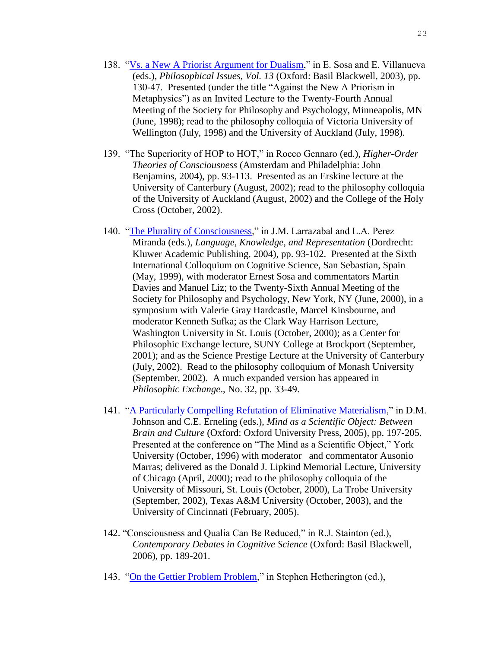- 138. ["Vs. a New A Priorist Argument for Dualism,](http://www.unc.edu/~ujanel/AgAPrism.htm)" in E. Sosa and E. Villanueva (eds.), *Philosophical Issues, Vol. 13* (Oxford: Basil Blackwell, 2003), pp. 130-47. Presented (under the title "Against the New A Priorism in Metaphysics") as an Invited Lecture to the Twenty-Fourth Annual Meeting of the Society for Philosophy and Psychology, Minneapolis, MN (June, 1998); read to the philosophy colloquia of Victoria University of Wellington (July, 1998) and the University of Auckland (July, 1998).
- 139. "The Superiority of HOP to HOT," in Rocco Gennaro (ed.), *Higher-Order Theories of Consciousness* (Amsterdam and Philadelphia: John Benjamins, 2004), pp. 93-113. Presented as an Erskine lecture at the University of Canterbury (August, 2002); read to the philosophy colloquia of the University of Auckland (August, 2002) and the College of the Holy Cross (October, 2002).
- 140. ["The Plurality of Consciousness,](http://www.unc.edu/~ujanel/CogThs.html)" in J.M. Larrazabal and L.A. Perez Miranda (eds.), *Language, Knowledge, and Representation* (Dordrecht: Kluwer Academic Publishing, 2004), pp. 93-102. Presented at the Sixth International Colloquium on Cognitive Science, San Sebastian, Spain (May, 1999), with moderator Ernest Sosa and commentators Martin Davies and Manuel Liz; to the Twenty-Sixth Annual Meeting of the Society for Philosophy and Psychology, New York, NY (June, 2000), in a symposium with Valerie Gray Hardcastle, Marcel Kinsbourne, and moderator Kenneth Sufka; as the Clark Way Harrison Lecture, Washington University in St. Louis (October, 2000); as a Center for Philosophic Exchange lecture, SUNY College at Brockport (September, 2001); and as the Science Prestige Lecture at the University of Canterbury (July, 2002). Read to the philosophy colloquium of Monash University (September, 2002). A much expanded version has appeared in *Philosophic Exchange*., No. 32, pp. 33-49.
- 141. ["A Particularly Compelling Refutation of Eliminative Materialism,](http://www.unc.edu/~ujanel/ElimWeb.htm)" in D.M. Johnson and C.E. Erneling (eds.), *Mind as a Scientific Object: Between Brain and Culture* (Oxford: Oxford University Press, 2005), pp. 197-205. Presented at the conference on "The Mind as a Scientific Object," York University (October, 1996) with moderator and commentator Ausonio Marras; delivered as the Donald J. Lipkind Memorial Lecture, University of Chicago (April, 2000); read to the philosophy colloquia of the University of Missouri, St. Louis (October, 2000), La Trobe University (September, 2002), Texas A&M University (October, 2003), and the University of Cincinnati (February, 2005).
- 142. "Consciousness and Qualia Can Be Reduced," in R.J. Stainton (ed.), *Contemporary Debates in Cognitive Science* (Oxford: Basil Blackwell, 2006), pp. 189-201.
- 143. ["On the Gettier Problem Problem,](http://www.unc.edu/~ujanel/Gettier.htm)" in Stephen Hetherington (ed.),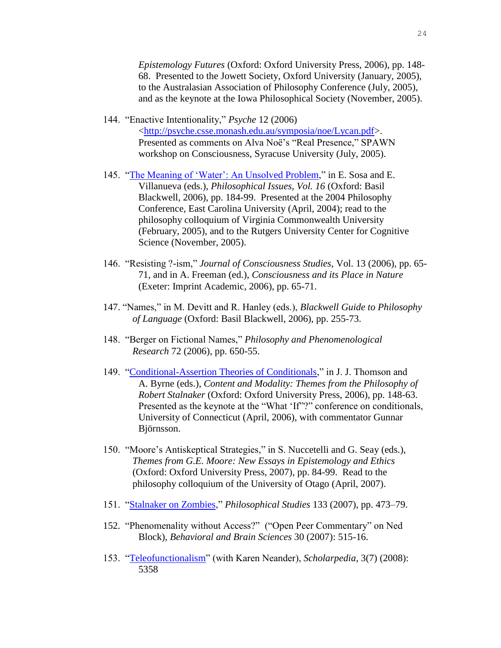*Epistemology Futures* (Oxford: Oxford University Press, 2006), pp. 148- 68. Presented to the Jowett Society, Oxford University (January, 2005), to the Australasian Association of Philosophy Conference (July, 2005), and as the keynote at the Iowa Philosophical Society (November, 2005).

- 144. "Enactive Intentionality," *Psyche* 12 (2006) [<http://psyche.csse.monash.edu.au/symposia/noe/Lycan.pdf>](http://psyche.csse.monash.edu.au/symposia/noe/Lycan.pdf). Presented as comments on Alva Noë's "Real Presence," SPAWN workshop on Consciousness, Syracuse University (July, 2005).
- 145. ["The Meaning of 'Water': An Unsolved Problem,](http://www.unc.edu/~ujanel/MeanUnsolved.htm)" in E. Sosa and E. Villanueva (eds.), *Philosophical Issues, Vol. 16* (Oxford: Basil Blackwell, 2006), pp. 184-99. Presented at the 2004 Philosophy Conference, East Carolina University (April, 2004); read to the philosophy colloquium of Virginia Commonwealth University (February, 2005), and to the Rutgers University Center for Cognitive Science (November, 2005).
- 146. "Resisting ?-ism," *Journal of Consciousness Studies*, Vol. 13 (2006), pp. 65- 71, and in A. Freeman (ed.), *Consciousness and its Place in Nature* (Exeter: Imprint Academic, 2006), pp. 65-71.
- 147. "Names," in M. Devitt and R. Hanley (eds.), *Blackwell Guide to Philosophy of Language* (Oxford: Basil Blackwell, 2006), pp. 255-73.
- 148. "Berger on Fictional Names," *Philosophy and Phenomenological Research* 72 (2006), pp. 650-55.
- 149. ["Conditional-Assertion Theories of Conditionals,](http://www.unc.edu/~ujanel/CondAssnThs.htm)" in J. J. Thomson and A. Byrne (eds.), *Content and Modality: Themes from the Philosophy of Robert Stalnaker* (Oxford: Oxford University Press, 2006), pp. 148-63. Presented as the keynote at the "What 'If"?" conference on conditionals, University of Connecticut (April, 2006), with commentator Gunnar Björnsson.
- 150. "Moore's Antiskeptical Strategies," in S. Nuccetelli and G. Seay (eds.), *Themes from G.E. Moore: New Essays in Epistemology and Ethics* (Oxford: Oxford University Press, 2007), pp. 84-99. Read to the philosophy colloquium of the University of Otago (April, 2007).
- 151. ["Stalnaker on Zombies,](http://www.springerlink.com/content/d6u74x0h82663627/)" *Philosophical Studies* 133 (2007), pp. 473–79.
- 152. "Phenomenality without Access?" ("Open Peer Commentary" on Ned Block), *Behavioral and Brain Sciences* 30 (2007): 515-16.
- 153. ["Teleofunctionalism"](http://www.scholarpedia.org/article/Teleofunctionalism) (with Karen Neander), *Scholarpedia*, 3(7) (2008): 5358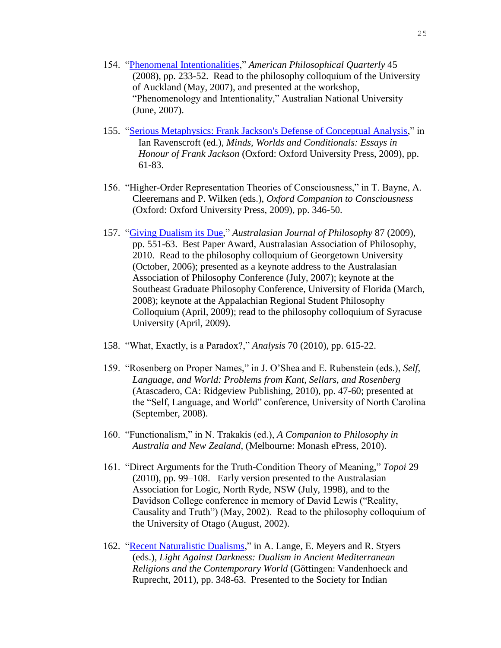- 154. ["Phenomenal Intentionalities,](http://www.unc.edu/~ujanel/PhenInts.pdf)" *American Philosophical Quarterly* 45 (2008), pp. 233-52. Read to the philosophy colloquium of the University of Auckland (May, 2007), and presented at the workshop, "Phenomenology and Intentionality," Australian National University (June, 2007).
- 155. ["Serious Metaphysics: Frank Jackson's Defense of Conceptual Analysis,](http://www.unc.edu/~ujanel/Jackson2.htm)" in Ian Ravenscroft (ed.), *Minds, Worlds and Conditionals: Essays in Honour of Frank Jackson* (Oxford: Oxford University Press, 2009), pp. 61-83.
- 156. "Higher-Order Representation Theories of Consciousness," in T. Bayne, A. Cleeremans and P. Wilken (eds.), *Oxford Companion to Consciousness* (Oxford: Oxford University Press, 2009), pp. 346-50.
- 157. ["Giving Dualism its Due,](http://www.unc.edu/~ujanel/GIVING%20DUALISM.pdf)" *Australasian Journal of Philosophy* 87 (2009), pp. 551-63. Best Paper Award, Australasian Association of Philosophy, 2010. Read to the philosophy colloquium of Georgetown University (October, 2006); presented as a keynote address to the Australasian Association of Philosophy Conference (July, 2007); keynote at the Southeast Graduate Philosophy Conference, University of Florida (March, 2008); keynote at the Appalachian Regional Student Philosophy Colloquium (April, 2009); read to the philosophy colloquium of Syracuse University (April, 2009).
- 158. "What, Exactly, is a Paradox?," *Analysis* 70 (2010), pp. 615-22.
- 159. "Rosenberg on Proper Names," in J. O'Shea and E. Rubenstein (eds.), *Self, Language, and World: Problems from Kant, Sellars, and Rosenberg* (Atascadero, CA: Ridgeview Publishing, 2010), pp. 47-60; presented at the "Self, Language, and World" conference, University of North Carolina (September, 2008).
- 160. "Functionalism," in N. Trakakis (ed.), *A Companion to Philosophy in Australia and New Zealand*, (Melbourne: Monash ePress, 2010).
- 161. "Direct Arguments for the Truth-Condition Theory of Meaning," *Topoi* 29 (2010), pp. 99–108. Early version presented to the Australasian Association for Logic, North Ryde, NSW (July, 1998), and to the Davidson College conference in memory of David Lewis ("Reality, Causality and Truth") (May, 2002). Read to the philosophy colloquium of the University of Otago (August, 2002).
- 162. ["Recent Naturalistic Dualisms,](http://www.unc.edu/~ujanel/RecDuMat.htm)" in A. Lange, E. Meyers and R. Styers (eds.), *Light Against Darkness: Dualism in Ancient Mediterranean Religions and the Contemporary World* (Göttingen: Vandenhoeck and Ruprecht, 2011), pp. 348-63. Presented to the Society for Indian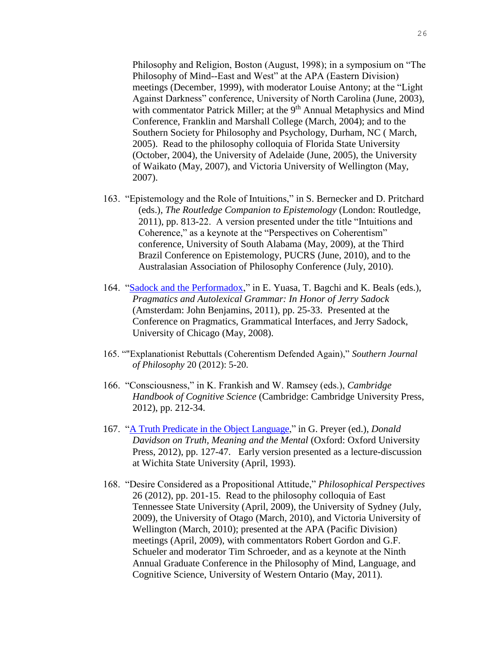Philosophy and Religion, Boston (August, 1998); in a symposium on "The Philosophy of Mind--East and West" at the APA (Eastern Division) meetings (December, 1999), with moderator Louise Antony; at the "Light Against Darkness" conference, University of North Carolina (June, 2003), with commentator Patrick Miller; at the 9<sup>th</sup> Annual Metaphysics and Mind Conference, Franklin and Marshall College (March, 2004); and to the Southern Society for Philosophy and Psychology, Durham, NC ( March, 2005). Read to the philosophy colloquia of Florida State University (October, 2004), the University of Adelaide (June, 2005), the University of Waikato (May, 2007), and Victoria University of Wellington (May, 2007).

- 163. "Epistemology and the Role of Intuitions," in S. Bernecker and D. Pritchard (eds.), *The Routledge Companion to Epistemology* (London: Routledge, 2011), pp. 813-22. A version presented under the title "Intuitions and Coherence," as a keynote at the "Perspectives on Coherentism" conference, University of South Alabama (May, 2009), at the Third Brazil Conference on Epistemology, PUCRS (June, 2010), and to the Australasian Association of Philosophy Conference (July, 2010).
- 164. ["Sadock and the Performadox,](AppData/Local/Microsoft/Windows/Documents%20and%20Settings/ujanel/Local%20Settings/Temporary%20Internet%20Files/Content.IE5/492ZCXYF/Sadock%20and%20the%20Performadox_pub.pdf)" in E. Yuasa, T. Bagchi and K. Beals (eds.), *Pragmatics and Autolexical Grammar: In Honor of Jerry Sadock* (Amsterdam: John Benjamins, 2011), pp. 25-33. Presented at the Conference on Pragmatics, Grammatical Interfaces, and Jerry Sadock, University of Chicago (May, 2008).
- 165. ""Explanationist Rebuttals (Coherentism Defended Again)," *Southern Journal of Philosophy* 20 (2012): 5-20.
- 166. "Consciousness," in K. Frankish and W. Ramsey (eds.), *Cambridge Handbook of Cognitive Science* (Cambridge: Cambridge University Press, 2012), pp. 212-34.
- 167. ["A Truth Predicate in the Object Language,](http://www.unc.edu/~ujanel/DavidsonLiar.pdf)" in G. Preyer (ed.), *Donald Davidson on Truth, Meaning and the Mental* (Oxford: Oxford University Press, 2012), pp. 127-47. Early version presented as a lecture-discussion at Wichita State University (April, 1993).
- 168. "Desire Considered as a Propositional Attitude," *Philosophical Perspectives* 26 (2012), pp. 201-15. Read to the philosophy colloquia of East Tennessee State University (April, 2009), the University of Sydney (July, 2009), the University of Otago (March, 2010), and Victoria University of Wellington (March, 2010); presented at the APA (Pacific Division) meetings (April, 2009), with commentators Robert Gordon and G.F. Schueler and moderator Tim Schroeder, and as a keynote at the Ninth Annual Graduate Conference in the Philosophy of Mind, Language, and Cognitive Science, University of Western Ontario (May, 2011).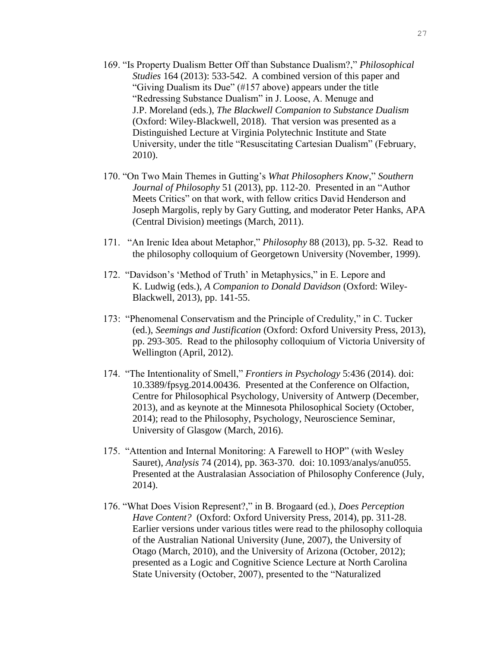- 169. "Is Property Dualism Better Off than Substance Dualism?," *Philosophical Studies* 164 (2013): 533-542. A combined version of this paper and "Giving Dualism its Due" (#157 above) appears under the title "Redressing Substance Dualism" in J. Loose, A. Menuge and J.P. Moreland (eds.), *The Blackwell Companion to Substance Dualism* (Oxford: Wiley-Blackwell, 2018). That version was presented as a Distinguished Lecture at Virginia Polytechnic Institute and State University, under the title "Resuscitating Cartesian Dualism" (February, 2010).
- 170. "On Two Main Themes in Gutting's *What Philosophers Know*," *Southern Journal of Philosophy* 51 (2013), pp. 112-20. Presented in an "Author Meets Critics" on that work, with fellow critics David Henderson and Joseph Margolis, reply by Gary Gutting, and moderator Peter Hanks, APA (Central Division) meetings (March, 2011).
- 171. "An Irenic Idea about Metaphor," *Philosophy* 88 (2013), pp. 5-32. Read to the philosophy colloquium of Georgetown University (November, 1999).
- 172. "Davidson's 'Method of Truth' in Metaphysics," in E. Lepore and K. Ludwig (eds.), *A Companion to Donald Davidson* (Oxford: Wiley-Blackwell, 2013), pp. 141-55.
- 173: "Phenomenal Conservatism and the Principle of Credulity," in C. Tucker (ed.), *Seemings and Justification* (Oxford: Oxford University Press, 2013), pp. 293-305. Read to the philosophy colloquium of Victoria University of Wellington (April, 2012).
- 174. "The Intentionality of Smell," *Frontiers in Psychology* 5:436 (2014). doi: 10.3389/fpsyg.2014.00436. Presented at the Conference on Olfaction, Centre for Philosophical Psychology, University of Antwerp (December, 2013), and as keynote at the Minnesota Philosophical Society (October, 2014); read to the Philosophy, Psychology, Neuroscience Seminar, University of Glasgow (March, 2016).
- 175. "Attention and Internal Monitoring: A Farewell to HOP" (with Wesley Sauret), *Analysis* 74 (2014), pp. 363-370. doi: 10.1093/analys/anu055. Presented at the Australasian Association of Philosophy Conference (July, 2014).
- 176. "What Does Vision Represent?," in B. Brogaard (ed.), *Does Perception Have Content?* (Oxford: Oxford University Press, 2014), pp. 311-28. Earlier versions under various titles were read to the philosophy colloquia of the Australian National University (June, 2007), the University of Otago (March, 2010), and the University of Arizona (October, 2012); presented as a Logic and Cognitive Science Lecture at North Carolina State University (October, 2007), presented to the "Naturalized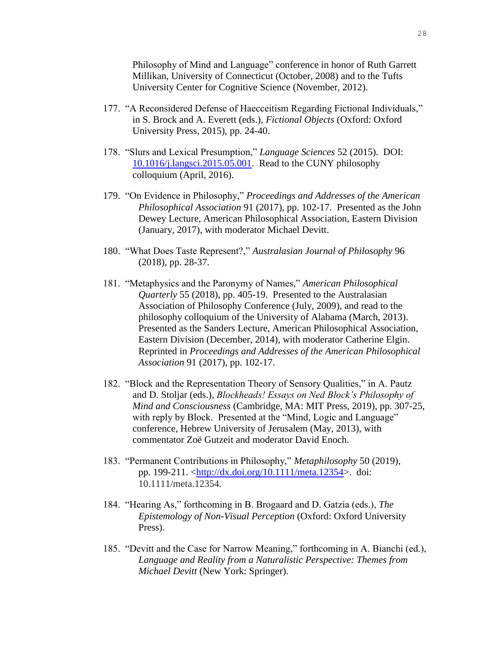Philosophy of Mind and Language" conference in honor of Ruth Garrett Millikan, University of Connecticut (October, 2008) and to the Tufts University Center for Cognitive Science (November, 2012).

- 177. "A Reconsidered Defense of Haecceitism Regarding Fictional Individuals," in S. Brock and A. Everett (eds.), *Fictional Objects* (Oxford: Oxford University Press, 2015), pp. 24-40.
- 178. "Slurs and Lexical Presumption," *Language Sciences* 52 (2015). DOI: [10.1016/j.langsci.2015.05.001.](10.1016/j.langsci.2015.05.001) Read to the CUNY philosophy colloquium (April, 2016).
- 179. "On Evidence in Philosophy," *Proceedings and Addresses of the American Philosophical Association* 91 (2017), pp. 102-17. Presented as the John Dewey Lecture, American Philosophical Association, Eastern Division (January, 2017), with moderator Michael Devitt.
- 180. "What Does Taste Represent?," *Australasian Journal of Philosophy* 96 (2018), pp. 28-37.
- 181. "Metaphysics and the Paronymy of Names," *American Philosophical Quarterly* 55 (2018), pp. 405-19. Presented to the Australasian Association of Philosophy Conference (July, 2009), and read to the philosophy colloquium of the University of Alabama (March, 2013). Presented as the Sanders Lecture, American Philosophical Association, Eastern Division (December, 2014), with moderator Catherine Elgin. Reprinted in *Proceedings and Addresses of the American Philosophical Association* 91 (2017), pp. 102-17.
- 182. "Block and the Representation Theory of Sensory Qualities," in A. Pautz and D. Stoljar (eds.), *Blockheads! Essays on Ned Block's Philosophy of Mind and Consciousness* (Cambridge, MA: MIT Press, 2019), pp. 307-25, with reply by Block. Presented at the "Mind, Logic and Language" conference, Hebrew University of Jerusalem (May, 2013), with commentator Zoë Gutzeit and moderator David Enoch.
- 183. "Permanent Contributions in Philosophy," *Metaphilosophy* 50 (2019), pp. 199-211. [<http://dx.doi.org/10.1111/meta.12354>](http://dx.doi.org/10.1111/meta.12354). doi: 10.1111/meta.12354.
- 184. "Hearing As," forthcoming in B. Brogaard and D. Gatzia (eds.), *The Epistemology of Non-Visual Perception* (Oxford: Oxford University Press).
- 185. "Devitt and the Case for Narrow Meaning," forthcoming in A. Bianchi (ed.), *Language and Reality from a Naturalistic Perspective: Themes from Michael Devitt* (New York: Springer).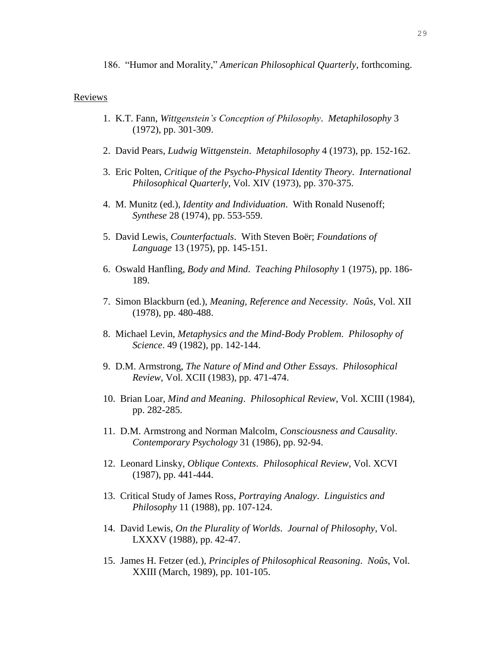186. "Humor and Morality," *American Philosophical Quarterly*, forthcoming.

#### Reviews

- 1. K.T. Fann, *Wittgenstein's Conception of Philosophy*. *Metaphilosophy* 3 (1972), pp. 301-309.
- 2. David Pears, *Ludwig Wittgenstein*. *Metaphilosophy* 4 (1973), pp. 152-162.
- 3. Eric Polten, *Critique of the Psycho-Physical Identity Theory*. *International Philosophical Quarterly*, Vol. XIV (1973), pp. 370-375.
- 4. M. Munitz (ed.), *Identity and Individuation*. With Ronald Nusenoff; *Synthese* 28 (1974), pp. 553-559.
- 5. David Lewis, *Counterfactuals*. With Steven Boër; *Foundations of Language* 13 (1975), pp. 145-151.
- 6. Oswald Hanfling, *Body and Mind*. *Teaching Philosophy* 1 (1975), pp. 186- 189.
- 7. Simon Blackburn (ed.), *Meaning, Reference and Necessity*. *Noûs*, Vol. XII (1978), pp. 480-488.
- 8. Michael Levin, *Metaphysics and the Mind-Body Problem*. *Philosophy of Science*. 49 (1982), pp. 142-144.
- 9. D.M. Armstrong, *The Nature of Mind and Other Essays*. *Philosophical Review*, Vol. XCII (1983), pp. 471-474.
- 10. Brian Loar, *Mind and Meaning*. *Philosophical Review*, Vol. XCIII (1984), pp. 282-285.
- 11. D.M. Armstrong and Norman Malcolm, *Consciousness and Causality*. *Contemporary Psychology* 31 (1986), pp. 92-94.
- 12. Leonard Linsky, *Oblique Contexts*. *Philosophical Review*, Vol. XCVI (1987), pp. 441-444.
- 13. Critical Study of James Ross, *Portraying Analogy*. *Linguistics and Philosophy* 11 (1988), pp. 107-124.
- 14. David Lewis, *On the Plurality of Worlds*. *Journal of Philosophy*, Vol. LXXXV (1988), pp. 42-47.
- 15. James H. Fetzer (ed.), *Principles of Philosophical Reasoning*. *Noûs*, Vol. XXIII (March, 1989), pp. 101-105.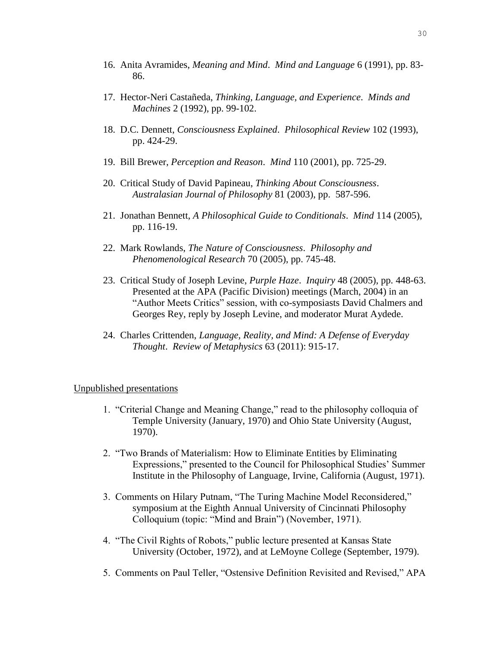- 16. Anita Avramides, *Meaning and Mind*. *Mind and Language* 6 (1991), pp. 83- 86.
- 17. Hector-Neri Castañeda, *Thinking, Language, and Experience*. *Minds and Machines* 2 (1992), pp. 99-102.
- 18. D.C. Dennett, *Consciousness Explained*. *Philosophical Review* 102 (1993), pp. 424-29.
- 19. Bill Brewer, *Perception and Reason*. *Mind* 110 (2001), pp. 725-29.
- 20. Critical Study of David Papineau, *Thinking About Consciousness*. *Australasian Journal of Philosophy* 81 (2003), pp. 587-596.
- 21. Jonathan Bennett, *A Philosophical Guide to Conditionals*. *Mind* 114 (2005), pp. 116-19.
- 22. Mark Rowlands, *The Nature of Consciousness*. *Philosophy and Phenomenological Research* 70 (2005), pp. 745-48.
- 23. Critical Study of Joseph Levine, *Purple Haze*. *Inquiry* 48 (2005), pp. 448-63. Presented at the APA (Pacific Division) meetings (March, 2004) in an "Author Meets Critics" session, with co-symposiasts David Chalmers and Georges Rey, reply by Joseph Levine, and moderator Murat Aydede.
- 24. Charles Crittenden, *Language, Reality, and Mind: A Defense of Everyday Thought*. *Review of Metaphysics* 63 (2011): 915-17.

#### Unpublished presentations

- 1. "Criterial Change and Meaning Change," read to the philosophy colloquia of Temple University (January, 1970) and Ohio State University (August, 1970).
- 2. "Two Brands of Materialism: How to Eliminate Entities by Eliminating Expressions," presented to the Council for Philosophical Studies' Summer Institute in the Philosophy of Language, Irvine, California (August, 1971).
- 3. Comments on Hilary Putnam, "The Turing Machine Model Reconsidered," symposium at the Eighth Annual University of Cincinnati Philosophy Colloquium (topic: "Mind and Brain") (November, 1971).
- 4. "The Civil Rights of Robots," public lecture presented at Kansas State University (October, 1972), and at LeMoyne College (September, 1979).
- 5. Comments on Paul Teller, "Ostensive Definition Revisited and Revised," APA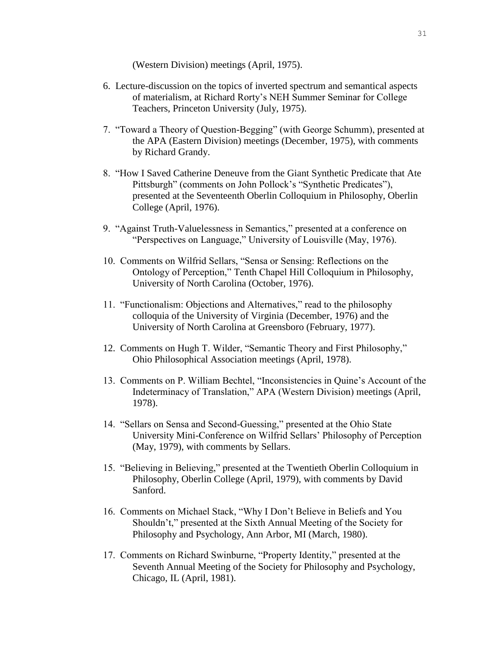(Western Division) meetings (April, 1975).

- 6. Lecture-discussion on the topics of inverted spectrum and semantical aspects of materialism, at Richard Rorty's NEH Summer Seminar for College Teachers, Princeton University (July, 1975).
- 7. "Toward a Theory of Question-Begging" (with George Schumm), presented at the APA (Eastern Division) meetings (December, 1975), with comments by Richard Grandy.
- 8. "How I Saved Catherine Deneuve from the Giant Synthetic Predicate that Ate Pittsburgh" (comments on John Pollock's "Synthetic Predicates"), presented at the Seventeenth Oberlin Colloquium in Philosophy, Oberlin College (April, 1976).
- 9. "Against Truth-Valuelessness in Semantics," presented at a conference on "Perspectives on Language," University of Louisville (May, 1976).
- 10. Comments on Wilfrid Sellars, "Sensa or Sensing: Reflections on the Ontology of Perception," Tenth Chapel Hill Colloquium in Philosophy, University of North Carolina (October, 1976).
- 11. "Functionalism: Objections and Alternatives," read to the philosophy colloquia of the University of Virginia (December, 1976) and the University of North Carolina at Greensboro (February, 1977).
- 12. Comments on Hugh T. Wilder, "Semantic Theory and First Philosophy," Ohio Philosophical Association meetings (April, 1978).
- 13. Comments on P. William Bechtel, "Inconsistencies in Quine's Account of the Indeterminacy of Translation," APA (Western Division) meetings (April, 1978).
- 14. "Sellars on Sensa and Second-Guessing," presented at the Ohio State University Mini-Conference on Wilfrid Sellars' Philosophy of Perception (May, 1979), with comments by Sellars.
- 15. "Believing in Believing," presented at the Twentieth Oberlin Colloquium in Philosophy, Oberlin College (April, 1979), with comments by David Sanford.
- 16. Comments on Michael Stack, "Why I Don't Believe in Beliefs and You Shouldn't," presented at the Sixth Annual Meeting of the Society for Philosophy and Psychology, Ann Arbor, MI (March, 1980).
- 17. Comments on Richard Swinburne, "Property Identity," presented at the Seventh Annual Meeting of the Society for Philosophy and Psychology, Chicago, IL (April, 1981).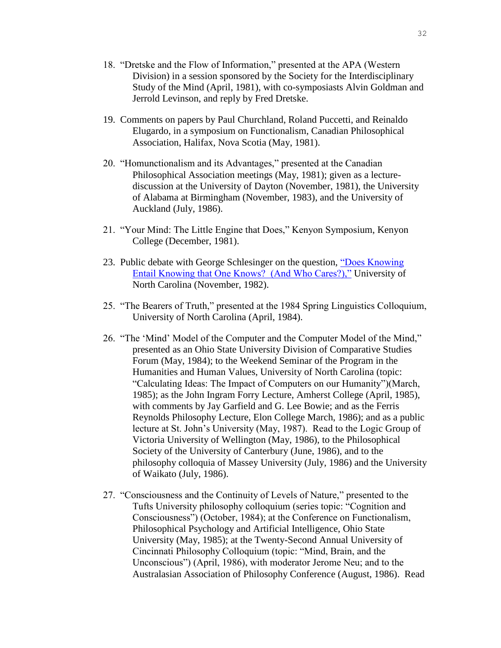- 18. "Dretske and the Flow of Information," presented at the APA (Western Division) in a session sponsored by the Society for the Interdisciplinary Study of the Mind (April, 1981), with co-symposiasts Alvin Goldman and Jerrold Levinson, and reply by Fred Dretske.
- 19. Comments on papers by Paul Churchland, Roland Puccetti, and Reinaldo Elugardo, in a symposium on Functionalism, Canadian Philosophical Association, Halifax, Nova Scotia (May, 1981).
- 20. "Homunctionalism and its Advantages," presented at the Canadian Philosophical Association meetings (May, 1981); given as a lecturediscussion at the University of Dayton (November, 1981), the University of Alabama at Birmingham (November, 1983), and the University of Auckland (July, 1986).
- 21. "Your Mind: The Little Engine that Does," Kenyon Symposium, Kenyon College (December, 1981).
- 23. Public debate with George Schlesinger on the question, ["Does Knowing](http://www.unc.edu/~ujanel/Notes%20on%20the%20KK%20Thesis.pdf)  [Entail Knowing that One Knows? \(And Who Cares?\),"](http://www.unc.edu/~ujanel/Notes%20on%20the%20KK%20Thesis.pdf) University of North Carolina (November, 1982).
- 25. "The Bearers of Truth," presented at the 1984 Spring Linguistics Colloquium, University of North Carolina (April, 1984).
- 26. "The 'Mind' Model of the Computer and the Computer Model of the Mind," presented as an Ohio State University Division of Comparative Studies Forum (May, 1984); to the Weekend Seminar of the Program in the Humanities and Human Values, University of North Carolina (topic: "Calculating Ideas: The Impact of Computers on our Humanity")(March, 1985); as the John Ingram Forry Lecture, Amherst College (April, 1985), with comments by Jay Garfield and G. Lee Bowie; and as the Ferris Reynolds Philosophy Lecture, Elon College March, 1986); and as a public lecture at St. John's University (May, 1987). Read to the Logic Group of Victoria University of Wellington (May, 1986), to the Philosophical Society of the University of Canterbury (June, 1986), and to the philosophy colloquia of Massey University (July, 1986) and the University of Waikato (July, 1986).
- 27. "Consciousness and the Continuity of Levels of Nature," presented to the Tufts University philosophy colloquium (series topic: "Cognition and Consciousness") (October, 1984); at the Conference on Functionalism, Philosophical Psychology and Artificial Intelligence, Ohio State University (May, 1985); at the Twenty-Second Annual University of Cincinnati Philosophy Colloquium (topic: "Mind, Brain, and the Unconscious") (April, 1986), with moderator Jerome Neu; and to the Australasian Association of Philosophy Conference (August, 1986). Read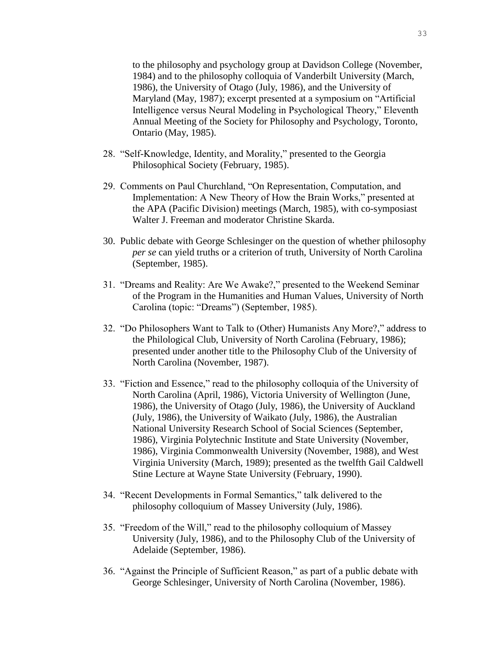to the philosophy and psychology group at Davidson College (November, 1984) and to the philosophy colloquia of Vanderbilt University (March, 1986), the University of Otago (July, 1986), and the University of Maryland (May, 1987); excerpt presented at a symposium on "Artificial Intelligence versus Neural Modeling in Psychological Theory," Eleventh Annual Meeting of the Society for Philosophy and Psychology, Toronto, Ontario (May, 1985).

- 28. "Self-Knowledge, Identity, and Morality," presented to the Georgia Philosophical Society (February, 1985).
- 29. Comments on Paul Churchland, "On Representation, Computation, and Implementation: A New Theory of How the Brain Works," presented at the APA (Pacific Division) meetings (March, 1985), with co-symposiast Walter J. Freeman and moderator Christine Skarda.
- 30. Public debate with George Schlesinger on the question of whether philosophy *per se* can yield truths or a criterion of truth, University of North Carolina (September, 1985).
- 31. "Dreams and Reality: Are We Awake?," presented to the Weekend Seminar of the Program in the Humanities and Human Values, University of North Carolina (topic: "Dreams") (September, 1985).
- 32. "Do Philosophers Want to Talk to (Other) Humanists Any More?," address to the Philological Club, University of North Carolina (February, 1986); presented under another title to the Philosophy Club of the University of North Carolina (November, 1987).
- 33. "Fiction and Essence," read to the philosophy colloquia of the University of North Carolina (April, 1986), Victoria University of Wellington (June, 1986), the University of Otago (July, 1986), the University of Auckland (July, 1986), the University of Waikato (July, 1986), the Australian National University Research School of Social Sciences (September, 1986), Virginia Polytechnic Institute and State University (November, 1986), Virginia Commonwealth University (November, 1988), and West Virginia University (March, 1989); presented as the twelfth Gail Caldwell Stine Lecture at Wayne State University (February, 1990).
- 34. "Recent Developments in Formal Semantics," talk delivered to the philosophy colloquium of Massey University (July, 1986).
- 35. "Freedom of the Will," read to the philosophy colloquium of Massey University (July, 1986), and to the Philosophy Club of the University of Adelaide (September, 1986).
- 36. "Against the Principle of Sufficient Reason," as part of a public debate with George Schlesinger, University of North Carolina (November, 1986).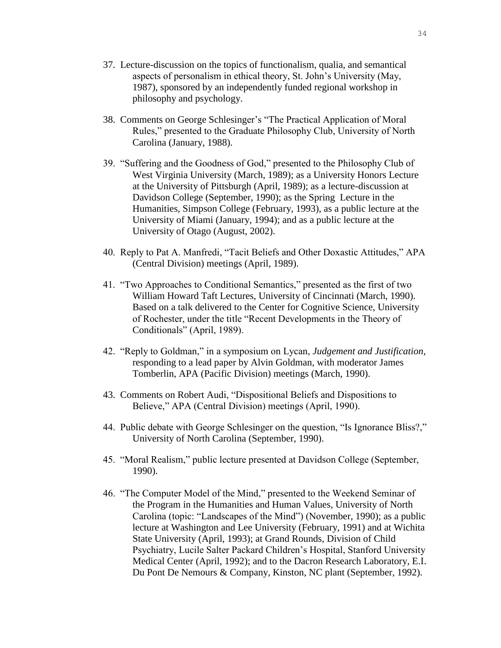- 37. Lecture-discussion on the topics of functionalism, qualia, and semantical aspects of personalism in ethical theory, St. John's University (May, 1987), sponsored by an independently funded regional workshop in philosophy and psychology.
- 38. Comments on George Schlesinger's "The Practical Application of Moral Rules," presented to the Graduate Philosophy Club, University of North Carolina (January, 1988).
- 39. "Suffering and the Goodness of God," presented to the Philosophy Club of West Virginia University (March, 1989); as a University Honors Lecture at the University of Pittsburgh (April, 1989); as a lecture-discussion at Davidson College (September, 1990); as the Spring Lecture in the Humanities, Simpson College (February, 1993), as a public lecture at the University of Miami (January, 1994); and as a public lecture at the University of Otago (August, 2002).
- 40. Reply to Pat A. Manfredi, "Tacit Beliefs and Other Doxastic Attitudes," APA (Central Division) meetings (April, 1989).
- 41. "Two Approaches to Conditional Semantics," presented as the first of two William Howard Taft Lectures, University of Cincinnati (March, 1990). Based on a talk delivered to the Center for Cognitive Science, University of Rochester, under the title "Recent Developments in the Theory of Conditionals" (April, 1989).
- 42. "Reply to Goldman," in a symposium on Lycan, *Judgement and Justification*, responding to a lead paper by Alvin Goldman, with moderator James Tomberlin, APA (Pacific Division) meetings (March, 1990).
- 43. Comments on Robert Audi, "Dispositional Beliefs and Dispositions to Believe," APA (Central Division) meetings (April, 1990).
- 44. Public debate with George Schlesinger on the question, "Is Ignorance Bliss?," University of North Carolina (September, 1990).
- 45. "Moral Realism," public lecture presented at Davidson College (September, 1990).
- 46. "The Computer Model of the Mind," presented to the Weekend Seminar of the Program in the Humanities and Human Values, University of North Carolina (topic: "Landscapes of the Mind") (November, 1990); as a public lecture at Washington and Lee University (February, 1991) and at Wichita State University (April, 1993); at Grand Rounds, Division of Child Psychiatry, Lucile Salter Packard Children's Hospital, Stanford University Medical Center (April, 1992); and to the Dacron Research Laboratory, E.I. Du Pont De Nemours & Company, Kinston, NC plant (September, 1992).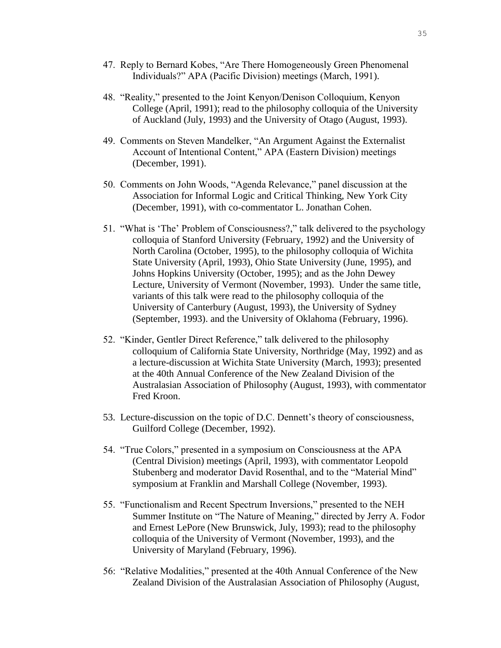- 47. Reply to Bernard Kobes, "Are There Homogeneously Green Phenomenal Individuals?" APA (Pacific Division) meetings (March, 1991).
- 48. "Reality," presented to the Joint Kenyon/Denison Colloquium, Kenyon College (April, 1991); read to the philosophy colloquia of the University of Auckland (July, 1993) and the University of Otago (August, 1993).
- 49. Comments on Steven Mandelker, "An Argument Against the Externalist Account of Intentional Content," APA (Eastern Division) meetings (December, 1991).
- 50. Comments on John Woods, "Agenda Relevance," panel discussion at the Association for Informal Logic and Critical Thinking, New York City (December, 1991), with co-commentator L. Jonathan Cohen.
- 51. "What is 'The' Problem of Consciousness?," talk delivered to the psychology colloquia of Stanford University (February, 1992) and the University of North Carolina (October, 1995), to the philosophy colloquia of Wichita State University (April, 1993), Ohio State University (June, 1995), and Johns Hopkins University (October, 1995); and as the John Dewey Lecture, University of Vermont (November, 1993). Under the same title, variants of this talk were read to the philosophy colloquia of the University of Canterbury (August, 1993), the University of Sydney (September, 1993). and the University of Oklahoma (February, 1996).
- 52. "Kinder, Gentler Direct Reference," talk delivered to the philosophy colloquium of California State University, Northridge (May, 1992) and as a lecture-discussion at Wichita State University (March, 1993); presented at the 40th Annual Conference of the New Zealand Division of the Australasian Association of Philosophy (August, 1993), with commentator Fred Kroon.
- 53. Lecture-discussion on the topic of D.C. Dennett's theory of consciousness, Guilford College (December, 1992).
- 54. "True Colors," presented in a symposium on Consciousness at the APA (Central Division) meetings (April, 1993), with commentator Leopold Stubenberg and moderator David Rosenthal, and to the "Material Mind" symposium at Franklin and Marshall College (November, 1993).
- 55. "Functionalism and Recent Spectrum Inversions," presented to the NEH Summer Institute on "The Nature of Meaning," directed by Jerry A. Fodor and Ernest LePore (New Brunswick, July, 1993); read to the philosophy colloquia of the University of Vermont (November, 1993), and the University of Maryland (February, 1996).
- 56: "Relative Modalities," presented at the 40th Annual Conference of the New Zealand Division of the Australasian Association of Philosophy (August,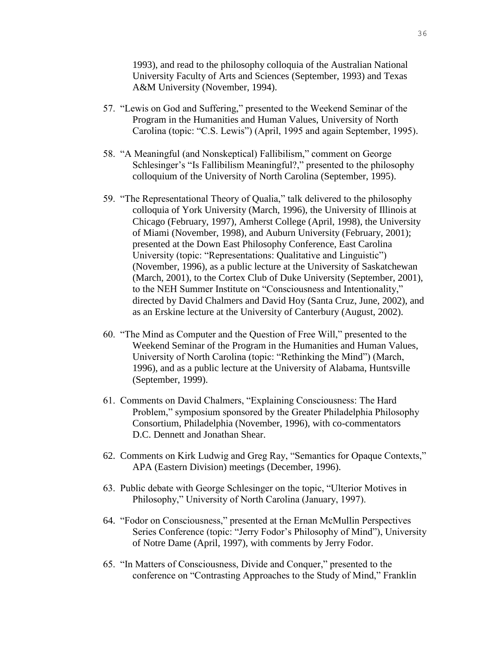1993), and read to the philosophy colloquia of the Australian National University Faculty of Arts and Sciences (September, 1993) and Texas A&M University (November, 1994).

- 57. "Lewis on God and Suffering," presented to the Weekend Seminar of the Program in the Humanities and Human Values, University of North Carolina (topic: "C.S. Lewis") (April, 1995 and again September, 1995).
- 58. "A Meaningful (and Nonskeptical) Fallibilism," comment on George Schlesinger's "Is Fallibilism Meaningful?," presented to the philosophy colloquium of the University of North Carolina (September, 1995).
- 59. "The Representational Theory of Qualia," talk delivered to the philosophy colloquia of York University (March, 1996), the University of Illinois at Chicago (February, 1997), Amherst College (April, 1998), the University of Miami (November, 1998), and Auburn University (February, 2001); presented at the Down East Philosophy Conference, East Carolina University (topic: "Representations: Qualitative and Linguistic") (November, 1996), as a public lecture at the University of Saskatchewan (March, 2001), to the Cortex Club of Duke University (September, 2001), to the NEH Summer Institute on "Consciousness and Intentionality," directed by David Chalmers and David Hoy (Santa Cruz, June, 2002), and as an Erskine lecture at the University of Canterbury (August, 2002).
- 60. "The Mind as Computer and the Question of Free Will," presented to the Weekend Seminar of the Program in the Humanities and Human Values, University of North Carolina (topic: "Rethinking the Mind") (March, 1996), and as a public lecture at the University of Alabama, Huntsville (September, 1999).
- 61. Comments on David Chalmers, "Explaining Consciousness: The Hard Problem," symposium sponsored by the Greater Philadelphia Philosophy Consortium, Philadelphia (November, 1996), with co-commentators D.C. Dennett and Jonathan Shear.
- 62. Comments on Kirk Ludwig and Greg Ray, "Semantics for Opaque Contexts," APA (Eastern Division) meetings (December, 1996).
- 63. Public debate with George Schlesinger on the topic, "Ulterior Motives in Philosophy," University of North Carolina (January, 1997).
- 64. "Fodor on Consciousness," presented at the Ernan McMullin Perspectives Series Conference (topic: "Jerry Fodor's Philosophy of Mind"), University of Notre Dame (April, 1997), with comments by Jerry Fodor.
- 65. "In Matters of Consciousness, Divide and Conquer," presented to the conference on "Contrasting Approaches to the Study of Mind," Franklin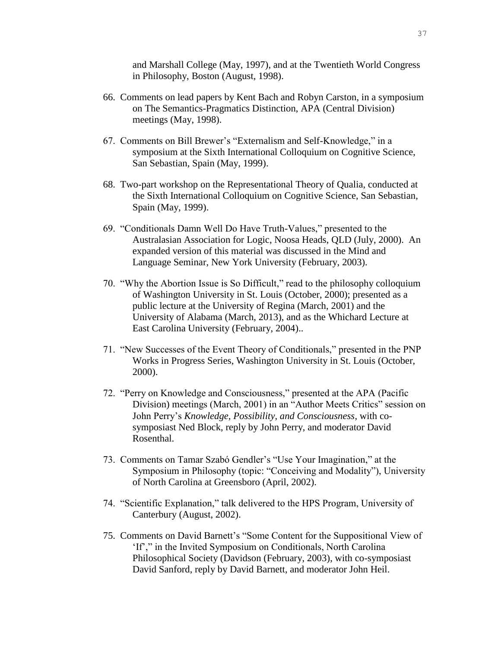and Marshall College (May, 1997), and at the Twentieth World Congress in Philosophy, Boston (August, 1998).

- 66. Comments on lead papers by Kent Bach and Robyn Carston, in a symposium on The Semantics-Pragmatics Distinction, APA (Central Division) meetings (May, 1998).
- 67. Comments on Bill Brewer's "Externalism and Self-Knowledge," in a symposium at the Sixth International Colloquium on Cognitive Science, San Sebastian, Spain (May, 1999).
- 68. Two-part workshop on the Representational Theory of Qualia, conducted at the Sixth International Colloquium on Cognitive Science, San Sebastian, Spain (May, 1999).
- 69. "Conditionals Damn Well Do Have Truth-Values," presented to the Australasian Association for Logic, Noosa Heads, QLD (July, 2000). An expanded version of this material was discussed in the Mind and Language Seminar, New York University (February, 2003).
- 70. "Why the Abortion Issue is So Difficult," read to the philosophy colloquium of Washington University in St. Louis (October, 2000); presented as a public lecture at the University of Regina (March, 2001) and the University of Alabama (March, 2013), and as the Whichard Lecture at East Carolina University (February, 2004)..
- 71. "New Successes of the Event Theory of Conditionals," presented in the PNP Works in Progress Series, Washington University in St. Louis (October, 2000).
- 72. "Perry on Knowledge and Consciousness," presented at the APA (Pacific Division) meetings (March, 2001) in an "Author Meets Critics" session on John Perry's *Knowledge, Possibility, and Consciousness*, with cosymposiast Ned Block, reply by John Perry, and moderator David Rosenthal.
- 73. Comments on Tamar Szabó Gendler's "Use Your Imagination," at the Symposium in Philosophy (topic: "Conceiving and Modality"), University of North Carolina at Greensboro (April, 2002).
- 74. "Scientific Explanation," talk delivered to the HPS Program, University of Canterbury (August, 2002).
- 75. Comments on David Barnett's "Some Content for the Suppositional View of 'If'," in the Invited Symposium on Conditionals, North Carolina Philosophical Society (Davidson (February, 2003), with co-symposiast David Sanford, reply by David Barnett, and moderator John Heil.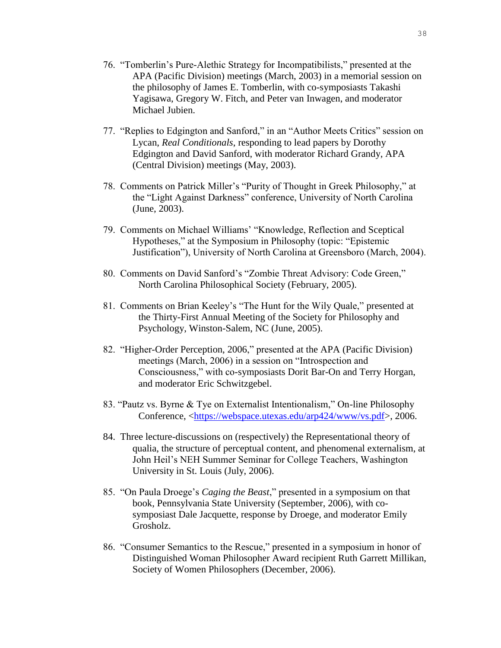- 76. "Tomberlin's Pure-Alethic Strategy for Incompatibilists," presented at the APA (Pacific Division) meetings (March, 2003) in a memorial session on the philosophy of James E. Tomberlin, with co-symposiasts Takashi Yagisawa, Gregory W. Fitch, and Peter van Inwagen, and moderator Michael Jubien.
- 77. "Replies to Edgington and Sanford," in an "Author Meets Critics" session on Lycan, *Real Conditionals*, responding to lead papers by Dorothy Edgington and David Sanford, with moderator Richard Grandy, APA (Central Division) meetings (May, 2003).
- 78. Comments on Patrick Miller's "Purity of Thought in Greek Philosophy," at the "Light Against Darkness" conference, University of North Carolina (June, 2003).
- 79. Comments on Michael Williams' "Knowledge, Reflection and Sceptical Hypotheses," at the Symposium in Philosophy (topic: "Epistemic Justification"), University of North Carolina at Greensboro (March, 2004).
- 80. Comments on David Sanford's "Zombie Threat Advisory: Code Green," North Carolina Philosophical Society (February, 2005).
- 81. Comments on Brian Keeley's "The Hunt for the Wily Quale," presented at the Thirty-First Annual Meeting of the Society for Philosophy and Psychology, Winston-Salem, NC (June, 2005).
- 82. "Higher-Order Perception, 2006," presented at the APA (Pacific Division) meetings (March, 2006) in a session on "Introspection and Consciousness," with co-symposiasts Dorit Bar-On and Terry Horgan, and moderator Eric Schwitzgebel.
- 83. "Pautz vs. Byrne & Tye on Externalist Intentionalism," On-line Philosophy Conference, [<https://webspace.utexas.edu/arp424/www/vs.pdf>](https://webspace.utexas.edu/arp424/www/vs.pdf), 2006.
- 84. Three lecture-discussions on (respectively) the Representational theory of qualia, the structure of perceptual content, and phenomenal externalism, at John Heil's NEH Summer Seminar for College Teachers, Washington University in St. Louis (July, 2006).
- 85. "On Paula Droege's *Caging the Beast*," presented in a symposium on that book, Pennsylvania State University (September, 2006), with cosymposiast Dale Jacquette, response by Droege, and moderator Emily Grosholz.
- 86. "Consumer Semantics to the Rescue," presented in a symposium in honor of Distinguished Woman Philosopher Award recipient Ruth Garrett Millikan, Society of Women Philosophers (December, 2006).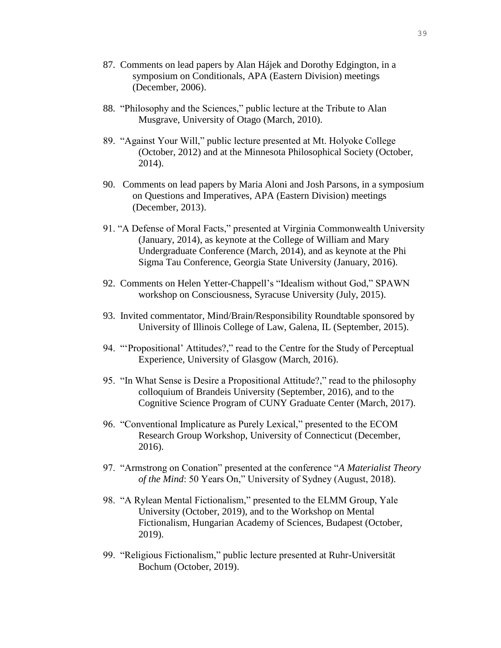- 87. Comments on lead papers by Alan Hájek and Dorothy Edgington, in a symposium on Conditionals, APA (Eastern Division) meetings (December, 2006).
- 88. "Philosophy and the Sciences," public lecture at the Tribute to Alan Musgrave, University of Otago (March, 2010).
- 89. "Against Your Will," public lecture presented at Mt. Holyoke College (October, 2012) and at the Minnesota Philosophical Society (October, 2014).
- 90. Comments on lead papers by Maria Aloni and Josh Parsons, in a symposium on Questions and Imperatives, APA (Eastern Division) meetings (December, 2013).
- 91. "A Defense of Moral Facts," presented at Virginia Commonwealth University (January, 2014), as keynote at the College of William and Mary Undergraduate Conference (March, 2014), and as keynote at the Phi Sigma Tau Conference, Georgia State University (January, 2016).
- 92. Comments on Helen Yetter-Chappell's "Idealism without God," SPAWN workshop on Consciousness, Syracuse University (July, 2015).
- 93. Invited commentator, Mind/Brain/Responsibility Roundtable sponsored by University of Illinois College of Law, Galena, IL (September, 2015).
- 94. "'Propositional' Attitudes?," read to the Centre for the Study of Perceptual Experience, University of Glasgow (March, 2016).
- 95. "In What Sense is Desire a Propositional Attitude?," read to the philosophy colloquium of Brandeis University (September, 2016), and to the Cognitive Science Program of CUNY Graduate Center (March, 2017).
- 96. "Conventional Implicature as Purely Lexical," presented to the ECOM Research Group Workshop, University of Connecticut (December, 2016).
- 97. "Armstrong on Conation" presented at the conference "*A Materialist Theory of the Mind*: 50 Years On," University of Sydney (August, 2018).
- 98. "A Rylean Mental Fictionalism," presented to the ELMM Group, Yale University (October, 2019), and to the Workshop on Mental Fictionalism, Hungarian Academy of Sciences, Budapest (October, 2019).
- 99. "Religious Fictionalism," public lecture presented at Ruhr-Universität Bochum (October, 2019).